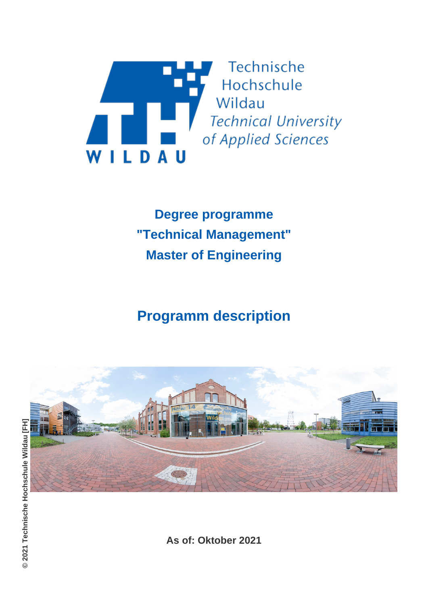

**Degree programme "Technical Management" Master of Engineering**

# **Programm description**



**As of: Oktober 2021**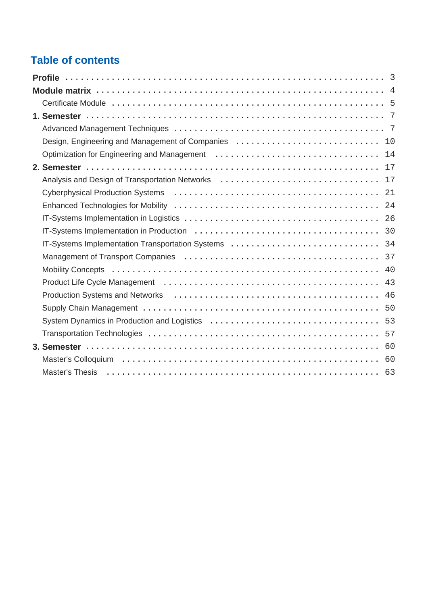## **Table of contents**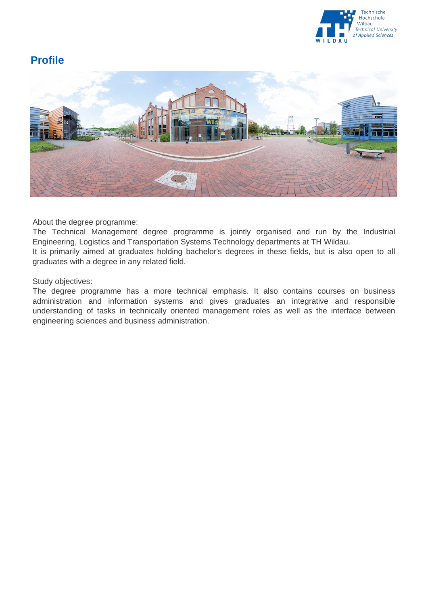

### <span id="page-2-0"></span>**Profile**



About the degree programme:

The Technical Management degree programme is jointly organised and run by the Industrial Engineering, Logistics and Transportation Systems Technology departments at TH Wildau.

It is primarily aimed at graduates holding bachelor's degrees in these fields, but is also open to all graduates with a degree in any related field.

Study objectives:

The degree programme has a more technical emphasis. It also contains courses on business administration and information systems and gives graduates an integrative and responsible understanding of tasks in technically oriented management roles as well as the interface between engineering sciences and business administration.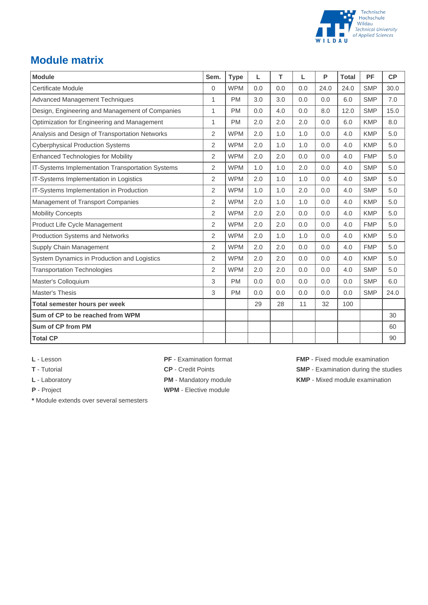

### <span id="page-3-0"></span>**Module matrix**

| <b>Module</b>                                    | Sem.           | <b>Type</b> | L   | T   | L   | P    | <b>Total</b> | PF         | CP   |
|--------------------------------------------------|----------------|-------------|-----|-----|-----|------|--------------|------------|------|
| Certificate Module                               | 0              | <b>WPM</b>  | 0.0 | 0.0 | 0.0 | 24.0 | 24.0         | <b>SMP</b> | 30.0 |
| <b>Advanced Management Techniques</b>            | 1              | <b>PM</b>   | 3.0 | 3.0 | 0.0 | 0.0  | 6.0          | <b>SMP</b> | 7.0  |
| Design, Engineering and Management of Companies  | $\mathbf{1}$   | <b>PM</b>   | 0.0 | 4.0 | 0.0 | 8.0  | 12.0         | <b>SMP</b> | 15.0 |
| Optimization for Engineering and Management      | 1              | <b>PM</b>   | 2.0 | 2.0 | 2.0 | 0.0  | 6.0          | <b>KMP</b> | 8.0  |
| Analysis and Design of Transportation Networks   | 2              | <b>WPM</b>  | 2.0 | 1.0 | 1.0 | 0.0  | 4.0          | <b>KMP</b> | 5.0  |
| <b>Cyberphysical Production Systems</b>          | 2              | <b>WPM</b>  | 2.0 | 1.0 | 1.0 | 0.0  | 4.0          | <b>KMP</b> | 5.0  |
| <b>Enhanced Technologies for Mobility</b>        | $\overline{2}$ | <b>WPM</b>  | 2.0 | 2.0 | 0.0 | 0.0  | 4.0          | <b>FMP</b> | 5.0  |
| IT-Systems Implementation Transportation Systems | $\overline{2}$ | <b>WPM</b>  | 1.0 | 1.0 | 2.0 | 0.0  | 4.0          | <b>SMP</b> | 5.0  |
| IT-Systems Implementation in Logistics           | 2              | <b>WPM</b>  | 2.0 | 1.0 | 1.0 | 0.0  | 4.0          | <b>SMP</b> | 5.0  |
| IT-Systems Implementation in Production          | 2              | <b>WPM</b>  | 1.0 | 1.0 | 2.0 | 0.0  | 4.0          | <b>SMP</b> | 5.0  |
| Management of Transport Companies                | $\overline{2}$ | <b>WPM</b>  | 2.0 | 1.0 | 1.0 | 0.0  | 4.0          | <b>KMP</b> | 5.0  |
| <b>Mobility Concepts</b>                         | $\overline{2}$ | <b>WPM</b>  | 2.0 | 2.0 | 0.0 | 0.0  | 4.0          | <b>KMP</b> | 5.0  |
| Product Life Cycle Management                    | $\overline{2}$ | <b>WPM</b>  | 2.0 | 2.0 | 0.0 | 0.0  | 4.0          | <b>FMP</b> | 5.0  |
| Production Systems and Networks                  | $\overline{2}$ | <b>WPM</b>  | 2.0 | 1.0 | 1.0 | 0.0  | 4.0          | <b>KMP</b> | 5.0  |
| Supply Chain Management                          | 2              | <b>WPM</b>  | 2.0 | 2.0 | 0.0 | 0.0  | 4.0          | <b>FMP</b> | 5.0  |
| System Dynamics in Production and Logistics      | $\overline{2}$ | <b>WPM</b>  | 2.0 | 2.0 | 0.0 | 0.0  | 4.0          | <b>KMP</b> | 5.0  |
| <b>Transportation Technologies</b>               | $\overline{2}$ | <b>WPM</b>  | 2.0 | 2.0 | 0.0 | 0.0  | 4.0          | <b>SMP</b> | 5.0  |
| Master's Colloquium                              | 3              | <b>PM</b>   | 0.0 | 0.0 | 0.0 | 0.0  | 0.0          | <b>SMP</b> | 6.0  |
| Master's Thesis                                  | 3              | <b>PM</b>   | 0.0 | 0.0 | 0.0 | 0.0  | 0.0          | <b>SMP</b> | 24.0 |
| Total semester hours per week                    |                |             | 29  | 28  | 11  | 32   | 100          |            |      |
| Sum of CP to be reached from WPM                 |                |             |     |     |     |      |              |            | 30   |
| Sum of CP from PM                                |                |             |     |     |     |      |              |            | 60   |
| <b>Total CP</b>                                  |                |             |     |     |     |      |              |            | 90   |

**\*** Module extends over several semesters

**P** - Project **WPM** - Elective module

**L** - Lesson **PF** - Examination format **FMP** - Fixed module examination

**T** - Tutorial **CP** - Credit Points **SMP** - Examination during the studies

L - Laboratory **PM** - Mandatory module **KMP** - Mixed module examination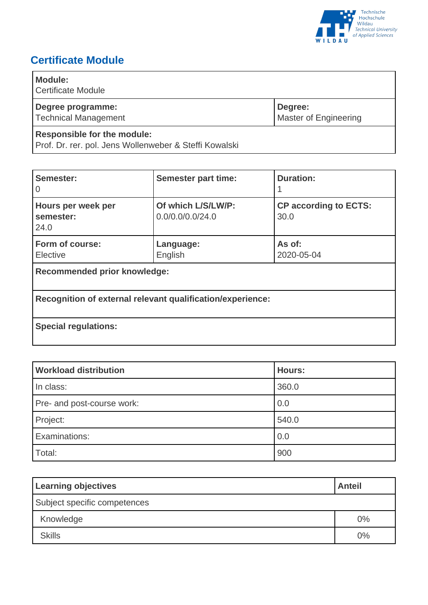

## <span id="page-4-0"></span>**Certificate Module**

| <b>Module:</b><br><b>Certificate Module</b>                                                  |                                         |
|----------------------------------------------------------------------------------------------|-----------------------------------------|
| Degree programme:<br><b>Technical Management</b>                                             | Degree:<br><b>Master of Engineering</b> |
| <b>Responsible for the module:</b><br>Prof. Dr. rer. pol. Jens Wollenweber & Steffi Kowalski |                                         |

| Semester:<br>0                                             | <b>Semester part time:</b>             | <b>Duration:</b>                     |  |
|------------------------------------------------------------|----------------------------------------|--------------------------------------|--|
| Hours per week per<br>semester:<br>24.0                    | Of which L/S/LW/P:<br>0.0/0.0/0.0/24.0 | <b>CP according to ECTS:</b><br>30.0 |  |
| Form of course:<br>Elective                                | Language:<br>English                   | As of:<br>2020-05-04                 |  |
| <b>Recommended prior knowledge:</b>                        |                                        |                                      |  |
| Recognition of external relevant qualification/experience: |                                        |                                      |  |
| <b>Special regulations:</b>                                |                                        |                                      |  |

| <b>Workload distribution</b> | <b>Hours:</b> |
|------------------------------|---------------|
| In class:                    | 360.0         |
| Pre- and post-course work:   | 0.0           |
| Project:                     | 540.0         |
| Examinations:                | 0.0           |
| Total:                       | 900           |

| <b>Learning objectives</b>   | <b>Anteil</b> |
|------------------------------|---------------|
| Subject specific competences |               |
| Knowledge                    | 0%            |
| <b>Skills</b>                | 0%            |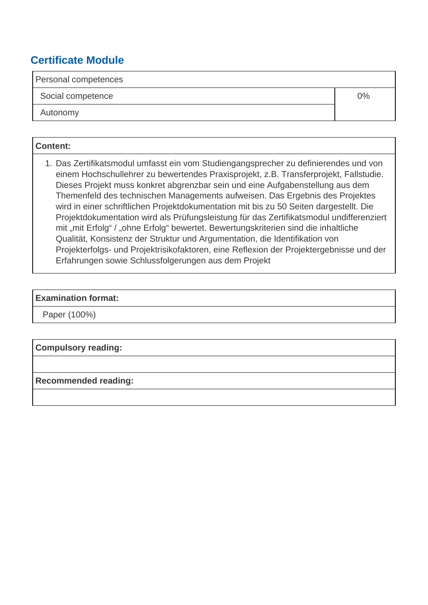### **Certificate Module**

Personal competences

Social competence and the set of the set of the set of the set of the set of the set of the set of the set of the set of the set of the set of the set of the set of the set of the set of the set of the set of the set of th

Autonomy

**Content:**

 1. Das Zertifikatsmodul umfasst ein vom Studiengangsprecher zu definierendes und von einem Hochschullehrer zu bewertendes Praxisprojekt, z.B. Transferprojekt, Fallstudie. Dieses Projekt muss konkret abgrenzbar sein und eine Aufgabenstellung aus dem Themenfeld des technischen Managements aufweisen. Das Ergebnis des Projektes wird in einer schriftlichen Projektdokumentation mit bis zu 50 Seiten dargestellt. Die Projektdokumentation wird als Prüfungsleistung für das Zertifikatsmodul undifferenziert mit "mit Erfolg" / "ohne Erfolg" bewertet. Bewertungskriterien sind die inhaltliche Qualität, Konsistenz der Struktur und Argumentation, die Identifikation von Projekterfolgs- und Projektrisikofaktoren, eine Reflexion der Projektergebnisse und der Erfahrungen sowie Schlussfolgerungen aus dem Projekt

### **Examination format:**

Paper (100%)

**Compulsory reading:**

**Recommended reading:**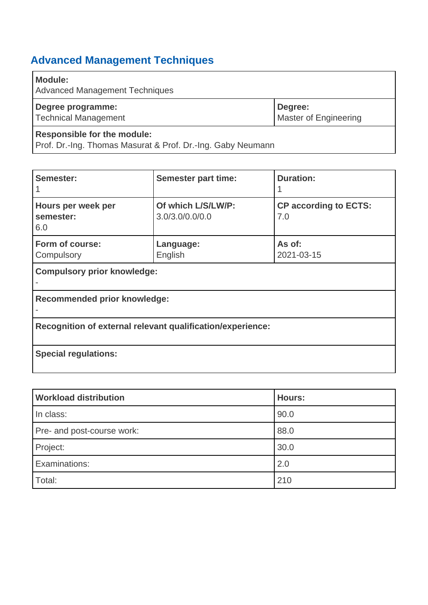## <span id="page-6-1"></span>**Advanced Management Techniques**

| <b>Module:</b><br><b>Advanced Management Techniques</b> |                                  |
|---------------------------------------------------------|----------------------------------|
| Degree programme:<br><b>Technical Management</b>        | Degree:<br>Master of Engineering |
| <b>Responsible for the module:</b>                      |                                  |

Prof. Dr.-Ing. Thomas Masurat & Prof. Dr.-Ing. Gaby Neumann

| Semester:                                                  | <b>Semester part time:</b>            | <b>Duration:</b>                    |  |  |
|------------------------------------------------------------|---------------------------------------|-------------------------------------|--|--|
| Hours per week per<br>semester:<br>6.0                     | Of which L/S/LW/P:<br>3.0/3.0/0.0/0.0 | <b>CP according to ECTS:</b><br>7.0 |  |  |
| Form of course:<br>Compulsory                              | Language:<br>English                  | As of:<br>2021-03-15                |  |  |
| <b>Compulsory prior knowledge:</b>                         |                                       |                                     |  |  |
| <b>Recommended prior knowledge:</b>                        |                                       |                                     |  |  |
| Recognition of external relevant qualification/experience: |                                       |                                     |  |  |
| <b>Special regulations:</b>                                |                                       |                                     |  |  |

<span id="page-6-0"></span>

| <b>Workload distribution</b> | <b>Hours:</b> |
|------------------------------|---------------|
| In class:                    | 90.0          |
| Pre- and post-course work:   | 88.0          |
| Project:                     | 30.0          |
| Examinations:                | 2.0           |
| Total:                       | 210           |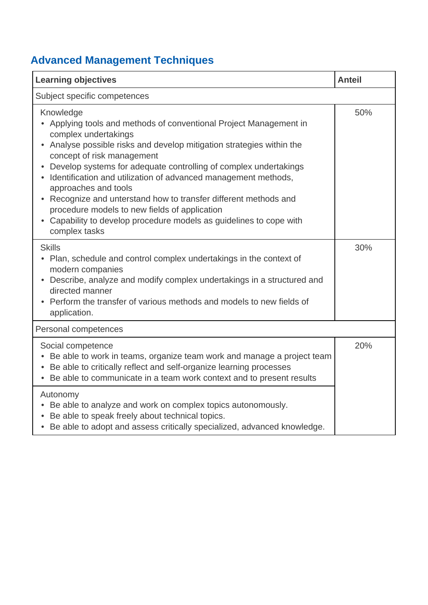# **Advanced Management Techniques**

| <b>Learning objectives</b>                                                                                                                                                                                                                                                                                                                                                                                                                                                                                                                                                          | <b>Anteil</b> |
|-------------------------------------------------------------------------------------------------------------------------------------------------------------------------------------------------------------------------------------------------------------------------------------------------------------------------------------------------------------------------------------------------------------------------------------------------------------------------------------------------------------------------------------------------------------------------------------|---------------|
| Subject specific competences                                                                                                                                                                                                                                                                                                                                                                                                                                                                                                                                                        |               |
| Knowledge<br>Applying tools and methods of conventional Project Management in<br>complex undertakings<br>Analyse possible risks and develop mitigation strategies within the<br>concept of risk management<br>Develop systems for adequate controlling of complex undertakings<br>Identification and utilization of advanced management methods,<br>approaches and tools<br>Recognize and unterstand how to transfer different methods and<br>procedure models to new fields of application<br>• Capability to develop procedure models as guidelines to cope with<br>complex tasks | 50%           |
| <b>Skills</b><br>• Plan, schedule and control complex undertakings in the context of<br>modern companies<br>Describe, analyze and modify complex undertakings in a structured and<br>directed manner<br>Perform the transfer of various methods and models to new fields of<br>$\bullet$<br>application.                                                                                                                                                                                                                                                                            | 30%           |
| Personal competences                                                                                                                                                                                                                                                                                                                                                                                                                                                                                                                                                                |               |
| Social competence<br>Be able to work in teams, organize team work and manage a project team<br>$\bullet$<br>Be able to critically reflect and self-organize learning processes<br>Be able to communicate in a team work context and to present results                                                                                                                                                                                                                                                                                                                              | 20%           |
| Autonomy<br>• Be able to analyze and work on complex topics autonomously.<br>Be able to speak freely about technical topics.<br>• Be able to adopt and assess critically specialized, advanced knowledge.                                                                                                                                                                                                                                                                                                                                                                           |               |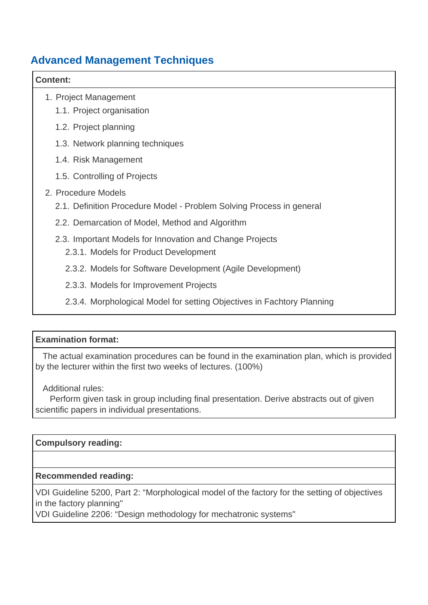### **Advanced Management Techniques**

#### **Content:**

- 1. Project Management
	- 1.1. Project organisation
	- 1.2. Project planning
	- 1.3. Network planning techniques
	- 1.4. Risk Management
	- 1.5. Controlling of Projects

### 2. Procedure Models

- 2.1. Definition Procedure Model Problem Solving Process in general
- 2.2. Demarcation of Model, Method and Algorithm
- 2.3. Important Models for Innovation and Change Projects
	- 2.3.1. Models for Product Development
	- 2.3.2. Models for Software Development (Agile Development)
	- 2.3.3. Models for Improvement Projects
	- 2.3.4. Morphological Model for setting Objectives in Fachtory Planning

### **Examination format:**

 The actual examination procedures can be found in the examination plan, which is provided by the lecturer within the first two weeks of lectures. (100%)

Additional rules:

 Perform given task in group including final presentation. Derive abstracts out of given scientific papers in individual presentations.

### **Compulsory reading:**

### **Recommended reading:**

VDI Guideline 5200, Part 2: "Morphological model of the factory for the setting of objectives in the factory planning"

VDI Guideline 2206: "Design methodology for mechatronic systems"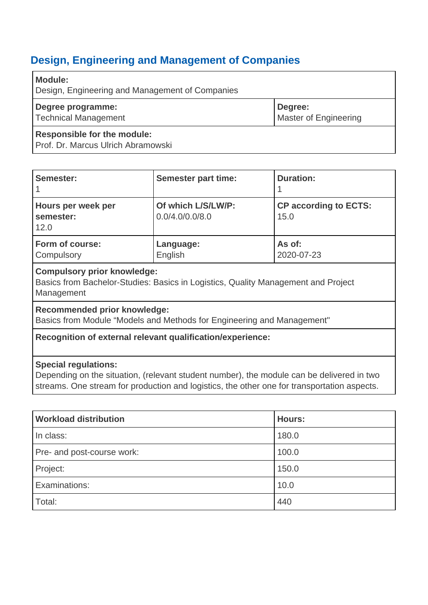<span id="page-9-0"></span>

| <b>Module:</b><br>Design, Engineering and Management of Companies        |                                  |
|--------------------------------------------------------------------------|----------------------------------|
| Degree programme:<br><b>Technical Management</b>                         | Degree:<br>Master of Engineering |
| <b>Responsible for the module:</b><br>Prof. Dr. Marcus Ulrich Abramowski |                                  |

| Semester:                               | <b>Semester part time:</b>            | <b>Duration:</b>                     |
|-----------------------------------------|---------------------------------------|--------------------------------------|
| Hours per week per<br>semester:<br>12.0 | Of which L/S/LW/P:<br>0.0/4.0/0.0/8.0 | <b>CP according to ECTS:</b><br>15.0 |
| Form of course:<br>Compulsory           | Language:<br>English                  | As of:<br>2020-07-23                 |

#### **Compulsory prior knowledge:**

Basics from Bachelor-Studies: Basics in Logistics, Quality Management and Project Management

#### **Recommended prior knowledge:**

Basics from Module "Models and Methods for Engineering and Management"

### **Recognition of external relevant qualification/experience:**

#### **Special regulations:**

Depending on the situation, (relevant student number), the module can be delivered in two streams. One stream for production and logistics, the other one for transportation aspects.

| <b>Workload distribution</b> | <b>Hours:</b> |
|------------------------------|---------------|
| In class:                    | 180.0         |
| Pre- and post-course work:   | 100.0         |
| Project:                     | 150.0         |
| Examinations:                | 10.0          |
| Total:                       | 440           |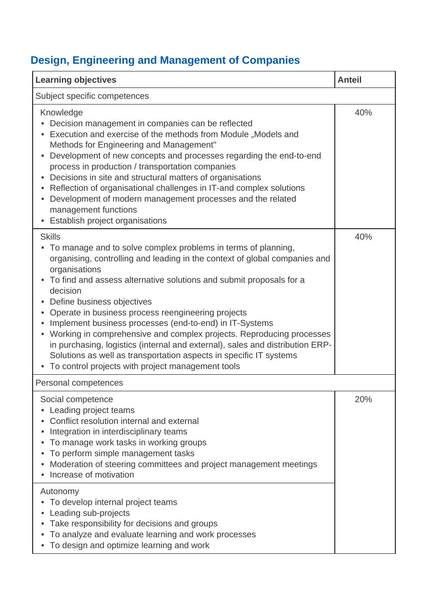| <b>Learning objectives</b>                                                                                                                                                                                                                                                                                                                                                                                                                                                                                                                                                                                                                                                                                | <b>Anteil</b> |
|-----------------------------------------------------------------------------------------------------------------------------------------------------------------------------------------------------------------------------------------------------------------------------------------------------------------------------------------------------------------------------------------------------------------------------------------------------------------------------------------------------------------------------------------------------------------------------------------------------------------------------------------------------------------------------------------------------------|---------------|
| Subject specific competences                                                                                                                                                                                                                                                                                                                                                                                                                                                                                                                                                                                                                                                                              |               |
| Knowledge<br>Decision management in companies can be reflected<br>Execution and exercise of the methods from Module "Models and<br>Methods for Engineering and Management"<br>Development of new concepts and processes regarding the end-to-end<br>$\bullet$<br>process in production / transportation companies<br>Decisions in site and structural matters of organisations<br>Reflection of organisational challenges in IT-and complex solutions<br>Development of modern management processes and the related<br>management functions<br>• Establish project organisations                                                                                                                          | 40%           |
| <b>Skills</b><br>To manage and to solve complex problems in terms of planning,<br>organising, controlling and leading in the context of global companies and<br>organisations<br>• To find and assess alternative solutions and submit proposals for a<br>decision<br>• Define business objectives<br>Operate in business process reengineering projects<br>Implement business processes (end-to-end) in IT-Systems<br>• Working in comprehensive and complex projects. Reproducing processes<br>in purchasing, logistics (internal and external), sales and distribution ERP-<br>Solutions as well as transportation aspects in specific IT systems<br>To control projects with project management tools | 40%           |
| Personal competences                                                                                                                                                                                                                                                                                                                                                                                                                                                                                                                                                                                                                                                                                      |               |
| Social competence<br>Leading project teams<br>Conflict resolution internal and external<br>Integration in interdisciplinary teams<br>To manage work tasks in working groups<br>To perform simple management tasks<br>Moderation of steering committees and project management meetings<br>Increase of motivation                                                                                                                                                                                                                                                                                                                                                                                          | 20%           |
| Autonomy<br>To develop internal project teams<br>Leading sub-projects<br>Take responsibility for decisions and groups<br>To analyze and evaluate learning and work processes<br>• To design and optimize learning and work                                                                                                                                                                                                                                                                                                                                                                                                                                                                                |               |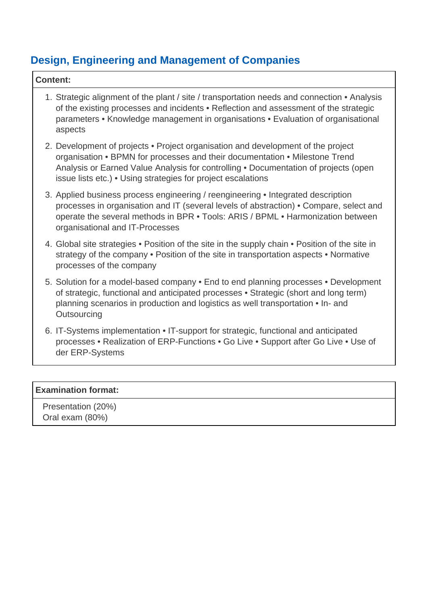| <b>Content:</b>                                                                                                                                                                                                                                                                                                        |  |  |
|------------------------------------------------------------------------------------------------------------------------------------------------------------------------------------------------------------------------------------------------------------------------------------------------------------------------|--|--|
| 1. Strategic alignment of the plant / site / transportation needs and connection • Analysis<br>of the existing processes and incidents • Reflection and assessment of the strategic<br>parameters • Knowledge management in organisations • Evaluation of organisational<br>aspects                                    |  |  |
| 2. Development of projects • Project organisation and development of the project<br>organisation • BPMN for processes and their documentation • Milestone Trend<br>Analysis or Earned Value Analysis for controlling . Documentation of projects (open<br>issue lists etc.) • Using strategies for project escalations |  |  |
| 3. Applied business process engineering / reengineering • Integrated description<br>processes in organisation and IT (several levels of abstraction) • Compare, select and<br>operate the several methods in BPR • Tools: ARIS / BPML • Harmonization between<br>organisational and IT-Processes                       |  |  |
| 4. Global site strategies • Position of the site in the supply chain • Position of the site in<br>strategy of the company • Position of the site in transportation aspects • Normative<br>processes of the company                                                                                                     |  |  |
| 5. Solution for a model-based company • End to end planning processes • Development<br>of strategic, functional and anticipated processes • Strategic (short and long term)<br>planning scenarios in production and logistics as well transportation • In- and<br>Outsourcing                                          |  |  |
| 6. IT-Systems implementation • IT-support for strategic, functional and anticipated<br>processes • Realization of ERP-Functions • Go Live • Support after Go Live • Use of<br>der ERP-Systems                                                                                                                          |  |  |

### **Examination format:**

 Presentation (20%) Oral exam (80%)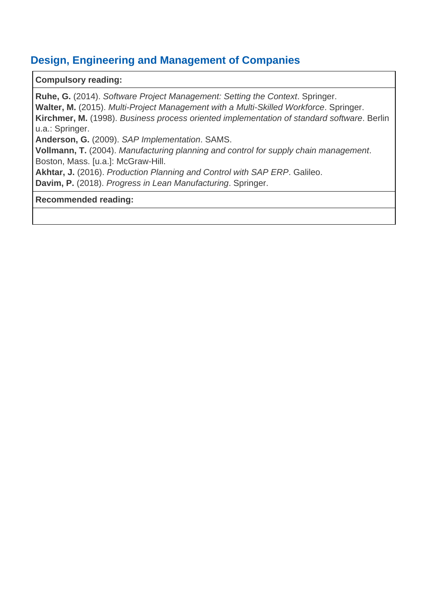### **Compulsory reading:**

**Ruhe, G.** (2014). Software Project Management: Setting the Context. Springer. **Walter, M.** (2015). Multi-Project Management with a Multi-Skilled Workforce. Springer. **Kirchmer, M.** (1998). Business process oriented implementation of standard software. Berlin u.a.: Springer. **Anderson, G.** (2009). SAP Implementation. SAMS. **Vollmann, T.** (2004). Manufacturing planning and control for supply chain management. Boston, Mass. [u.a.]: McGraw-Hill. **Akhtar, J.** (2016). Production Planning and Control with SAP ERP. Galileo. **Davim, P.** (2018). Progress in Lean Manufacturing. Springer.

#### **Recommended reading:**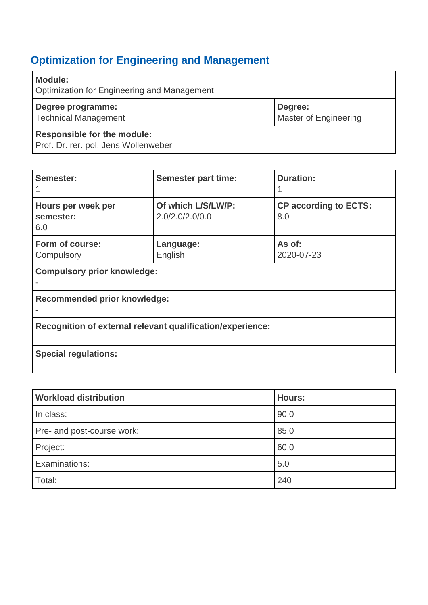# <span id="page-13-0"></span>**Optimization for Engineering and Management**

| <b>Module:</b><br>Optimization for Engineering and Management              |                                  |
|----------------------------------------------------------------------------|----------------------------------|
| Degree programme:<br><b>Technical Management</b>                           | Degree:<br>Master of Engineering |
| <b>Responsible for the module:</b><br>Prof. Dr. rer. pol. Jens Wollenweber |                                  |

| Semester:                                                  | <b>Semester part time:</b>            | <b>Duration:</b>                    |
|------------------------------------------------------------|---------------------------------------|-------------------------------------|
| Hours per week per<br>semester:<br>6.0                     | Of which L/S/LW/P:<br>2.0/2.0/2.0/0.0 | <b>CP according to ECTS:</b><br>8.0 |
| Form of course:<br>Compulsory                              | Language:<br>English                  | As of:<br>2020-07-23                |
| <b>Compulsory prior knowledge:</b>                         |                                       |                                     |
| <b>Recommended prior knowledge:</b>                        |                                       |                                     |
| Recognition of external relevant qualification/experience: |                                       |                                     |
| <b>Special regulations:</b>                                |                                       |                                     |

| <b>Workload distribution</b> | <b>Hours:</b> |
|------------------------------|---------------|
| In class:                    | 90.0          |
| Pre- and post-course work:   | 85.0          |
| Project:                     | 60.0          |
| Examinations:                | 5.0           |
| Total:                       | 240           |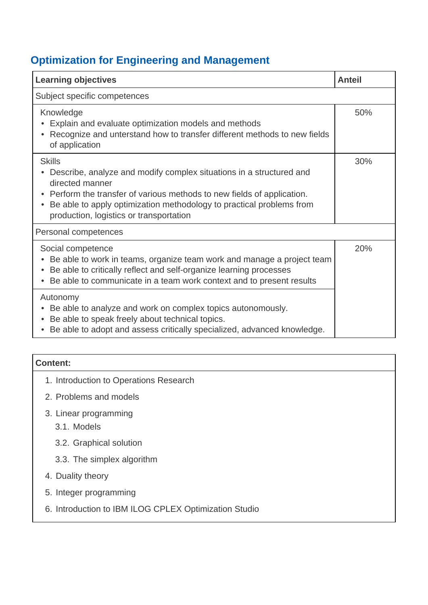# **Optimization for Engineering and Management**

| <b>Learning objectives</b>                                                                                                                                                                                                                                                                            | <b>Anteil</b> |
|-------------------------------------------------------------------------------------------------------------------------------------------------------------------------------------------------------------------------------------------------------------------------------------------------------|---------------|
| Subject specific competences                                                                                                                                                                                                                                                                          |               |
| Knowledge<br>Explain and evaluate optimization models and methods<br>Recognize and unterstand how to transfer different methods to new fields<br>of application                                                                                                                                       | 50%           |
| <b>Skills</b><br>Describe, analyze and modify complex situations in a structured and<br>directed manner<br>• Perform the transfer of various methods to new fields of application.<br>Be able to apply optimization methodology to practical problems from<br>production, logistics or transportation | 30%           |
| Personal competences                                                                                                                                                                                                                                                                                  |               |
| Social competence<br>Be able to work in teams, organize team work and manage a project team<br>Be able to critically reflect and self-organize learning processes<br>Be able to communicate in a team work context and to present results                                                             | 20%           |
| Autonomy<br>Be able to analyze and work on complex topics autonomously.<br>Be able to speak freely about technical topics.<br>Be able to adopt and assess critically specialized, advanced knowledge.                                                                                                 |               |

| <b>Content:</b>                                       |  |
|-------------------------------------------------------|--|
| 1. Introduction to Operations Research                |  |
| 2. Problems and models                                |  |
| 3. Linear programming<br>3.1. Models                  |  |
| 3.2. Graphical solution                               |  |
| 3.3. The simplex algorithm                            |  |
| 4. Duality theory                                     |  |
| 5. Integer programming                                |  |
| 6. Introduction to IBM ILOG CPLEX Optimization Studio |  |
|                                                       |  |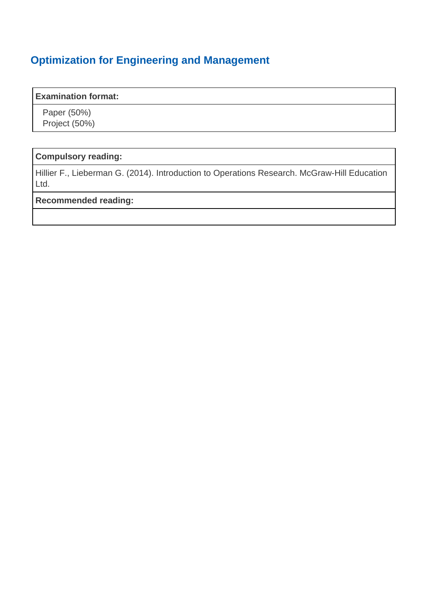### **Optimization for Engineering and Management**

#### **Examination format:**

 Paper (50%) Project (50%)

### **Compulsory reading:**

Hillier F., Lieberman G. (2014). Introduction to Operations Research. McGraw-Hill Education Ltd.

### **Recommended reading:**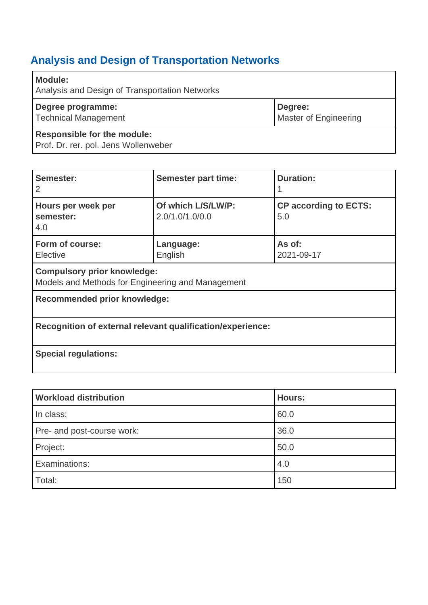<span id="page-16-1"></span>

| <b>Module:</b><br>Analysis and Design of Transportation Networks           |                                         |
|----------------------------------------------------------------------------|-----------------------------------------|
| Degree programme:<br><b>Technical Management</b>                           | Degree:<br><b>Master of Engineering</b> |
| <b>Responsible for the module:</b><br>Prof. Dr. rer. pol. Jens Wollenweber |                                         |

<span id="page-16-0"></span>

| Semester:<br>2                                                                          | <b>Semester part time:</b>            | <b>Duration:</b>                    |
|-----------------------------------------------------------------------------------------|---------------------------------------|-------------------------------------|
| Hours per week per<br>semester:<br>4.0                                                  | Of which L/S/LW/P:<br>2.0/1.0/1.0/0.0 | <b>CP according to ECTS:</b><br>5.0 |
| Form of course:<br>Elective                                                             | Language:<br>English                  | As of:<br>2021-09-17                |
| <b>Compulsory prior knowledge:</b><br>Models and Methods for Engineering and Management |                                       |                                     |
| <b>Recommended prior knowledge:</b>                                                     |                                       |                                     |
| Recognition of external relevant qualification/experience:                              |                                       |                                     |
| <b>Special regulations:</b>                                                             |                                       |                                     |

| <b>Workload distribution</b> | <b>Hours:</b> |
|------------------------------|---------------|
| In class:                    | 60.0          |
| Pre- and post-course work:   | 36.0          |
| Project:                     | 50.0          |
| Examinations:                | 4.0           |
| Total:                       | 150           |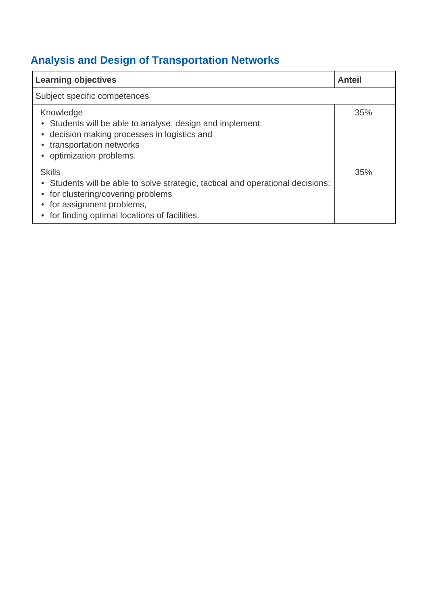| <b>Learning objectives</b>                                                                                                                                                                                         | <b>Anteil</b> |
|--------------------------------------------------------------------------------------------------------------------------------------------------------------------------------------------------------------------|---------------|
| Subject specific competences                                                                                                                                                                                       |               |
| Knowledge<br>• Students will be able to analyse, design and implement:<br>decision making processes in logistics and<br>transportation networks<br>optimization problems.                                          | 35%           |
| <b>Skills</b><br>• Students will be able to solve strategic, tactical and operational decisions:<br>• for clustering/covering problems<br>for assignment problems,<br>for finding optimal locations of facilities. | 35%           |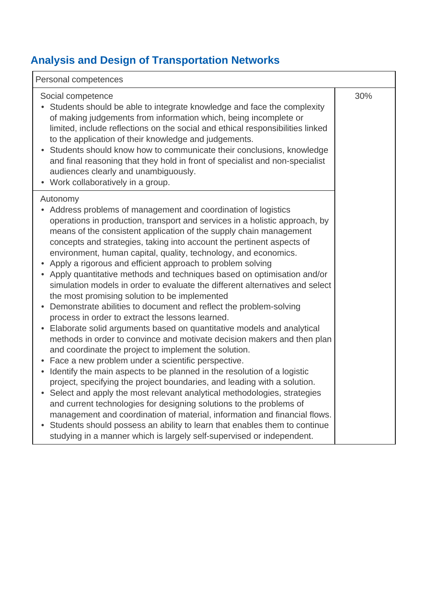| Personal competences                                                                                                                                                                                                                                                                                                                                                                                                                                                                                                                                                                                                                                                                                                                                                                                                                                                                                                                                                                                                                                                                                                                                                                                                                                                                                                                                                                                                                                                                                                                                                                                                     |     |  |
|--------------------------------------------------------------------------------------------------------------------------------------------------------------------------------------------------------------------------------------------------------------------------------------------------------------------------------------------------------------------------------------------------------------------------------------------------------------------------------------------------------------------------------------------------------------------------------------------------------------------------------------------------------------------------------------------------------------------------------------------------------------------------------------------------------------------------------------------------------------------------------------------------------------------------------------------------------------------------------------------------------------------------------------------------------------------------------------------------------------------------------------------------------------------------------------------------------------------------------------------------------------------------------------------------------------------------------------------------------------------------------------------------------------------------------------------------------------------------------------------------------------------------------------------------------------------------------------------------------------------------|-----|--|
| Social competence<br>• Students should be able to integrate knowledge and face the complexity<br>of making judgements from information which, being incomplete or<br>limited, include reflections on the social and ethical responsibilities linked<br>to the application of their knowledge and judgements.<br>Students should know how to communicate their conclusions, knowledge<br>and final reasoning that they hold in front of specialist and non-specialist<br>audiences clearly and unambiguously.<br>• Work collaboratively in a group.                                                                                                                                                                                                                                                                                                                                                                                                                                                                                                                                                                                                                                                                                                                                                                                                                                                                                                                                                                                                                                                                       | 30% |  |
| Autonomy<br>• Address problems of management and coordination of logistics<br>operations in production, transport and services in a holistic approach, by<br>means of the consistent application of the supply chain management<br>concepts and strategies, taking into account the pertinent aspects of<br>environment, human capital, quality, technology, and economics.<br>Apply a rigorous and efficient approach to problem solving<br>• Apply quantitative methods and techniques based on optimisation and/or<br>simulation models in order to evaluate the different alternatives and select<br>the most promising solution to be implemented<br>Demonstrate abilities to document and reflect the problem-solving<br>process in order to extract the lessons learned.<br>Elaborate solid arguments based on quantitative models and analytical<br>$\bullet$<br>methods in order to convince and motivate decision makers and then plan<br>and coordinate the project to implement the solution.<br>Face a new problem under a scientific perspective.<br>Identify the main aspects to be planned in the resolution of a logistic<br>project, specifying the project boundaries, and leading with a solution.<br>Select and apply the most relevant analytical methodologies, strategies<br>$\bullet$<br>and current technologies for designing solutions to the problems of<br>management and coordination of material, information and financial flows.<br>Students should possess an ability to learn that enables them to continue<br>studying in a manner which is largely self-supervised or independent. |     |  |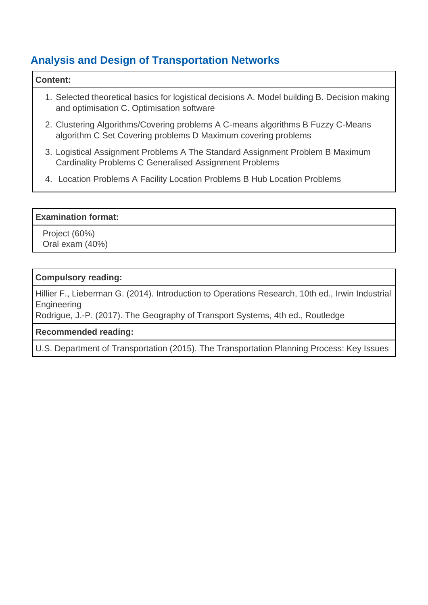#### **Content:**

- 1. Selected theoretical basics for logistical decisions A. Model building B. Decision making and optimisation C. Optimisation software
- 2. Clustering Algorithms/Covering problems A C-means algorithms B Fuzzy C-Means algorithm C Set Covering problems D Maximum covering problems
- 3. Logistical Assignment Problems A The Standard Assignment Problem B Maximum Cardinality Problems C Generalised Assignment Problems
- 4. Location Problems A Facility Location Problems B Hub Location Problems

### **Examination format:**

 Project (60%) Oral exam (40%)

#### **Compulsory reading:**

Hillier F., Lieberman G. (2014). Introduction to Operations Research, 10th ed., Irwin Industrial Engineering

Rodrigue, J.-P. (2017). The Geography of Transport Systems, 4th ed., Routledge

### **Recommended reading:**

U.S. Department of Transportation (2015). The Transportation Planning Process: Key Issues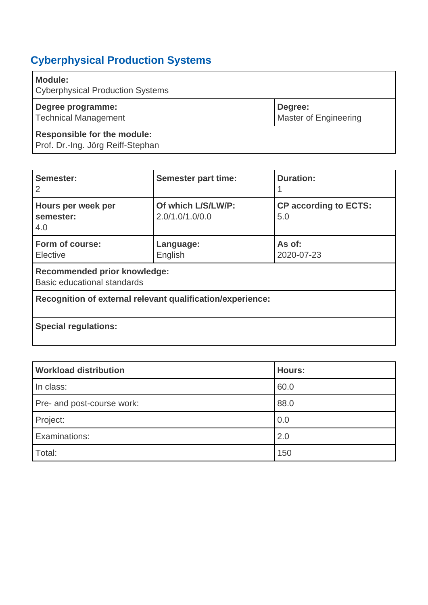# <span id="page-20-0"></span>**Cyberphysical Production Systems**

| <b>Module:</b><br><b>Cyberphysical Production Systems</b>               |                                         |
|-------------------------------------------------------------------------|-----------------------------------------|
| Degree programme:<br><b>Technical Management</b>                        | Degree:<br><b>Master of Engineering</b> |
| <b>Responsible for the module:</b><br>Prof. Dr.-Ing. Jörg Reiff-Stephan |                                         |

| Semester:<br>2                                                     | <b>Semester part time:</b>            | <b>Duration:</b>                    |
|--------------------------------------------------------------------|---------------------------------------|-------------------------------------|
| Hours per week per<br>semester:<br>4.0                             | Of which L/S/LW/P:<br>2.0/1.0/1.0/0.0 | <b>CP according to ECTS:</b><br>5.0 |
| Form of course:<br>Elective                                        | Language:<br>English                  | As of:<br>2020-07-23                |
| <b>Recommended prior knowledge:</b><br>Basic educational standards |                                       |                                     |
| Recognition of external relevant qualification/experience:         |                                       |                                     |
| <b>Special regulations:</b>                                        |                                       |                                     |

| <b>Workload distribution</b> | <b>Hours:</b> |
|------------------------------|---------------|
| In class:                    | 60.0          |
| Pre- and post-course work:   | 88.0          |
| Project:                     | 0.0           |
| Examinations:                | 2.0           |
| Total:                       | 150           |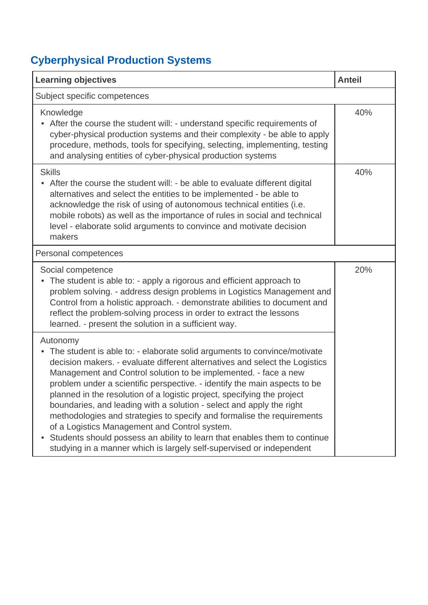# **Cyberphysical Production Systems**

| <b>Learning objectives</b>                                                                                                                                                                                                                                                                                                                                                                                                                                                                                                                                                                                                                                                                                                                               | <b>Anteil</b> |
|----------------------------------------------------------------------------------------------------------------------------------------------------------------------------------------------------------------------------------------------------------------------------------------------------------------------------------------------------------------------------------------------------------------------------------------------------------------------------------------------------------------------------------------------------------------------------------------------------------------------------------------------------------------------------------------------------------------------------------------------------------|---------------|
| Subject specific competences                                                                                                                                                                                                                                                                                                                                                                                                                                                                                                                                                                                                                                                                                                                             |               |
| Knowledge<br>After the course the student will: - understand specific requirements of<br>cyber-physical production systems and their complexity - be able to apply<br>procedure, methods, tools for specifying, selecting, implementing, testing<br>and analysing entities of cyber-physical production systems                                                                                                                                                                                                                                                                                                                                                                                                                                          | 40%           |
| <b>Skills</b><br>• After the course the student will: - be able to evaluate different digital<br>alternatives and select the entities to be implemented - be able to<br>acknowledge the risk of using of autonomous technical entities (i.e.<br>mobile robots) as well as the importance of rules in social and technical<br>level - elaborate solid arguments to convince and motivate decision<br>makers                                                                                                                                                                                                                                                                                                                                               | 40%           |
| Personal competences                                                                                                                                                                                                                                                                                                                                                                                                                                                                                                                                                                                                                                                                                                                                     |               |
| Social competence<br>The student is able to: - apply a rigorous and efficient approach to<br>problem solving. - address design problems in Logistics Management and<br>Control from a holistic approach. - demonstrate abilities to document and<br>reflect the problem-solving process in order to extract the lessons<br>learned. - present the solution in a sufficient way.                                                                                                                                                                                                                                                                                                                                                                          | 20%           |
| Autonomy<br>• The student is able to: - elaborate solid arguments to convince/motivate<br>decision makers. - evaluate different alternatives and select the Logistics<br>Management and Control solution to be implemented. - face a new<br>problem under a scientific perspective. - identify the main aspects to be<br>planned in the resolution of a logistic project, specifying the project<br>boundaries, and leading with a solution - select and apply the right<br>methodologies and strategies to specify and formalise the requirements<br>of a Logistics Management and Control system.<br>Students should possess an ability to learn that enables them to continue<br>studying in a manner which is largely self-supervised or independent |               |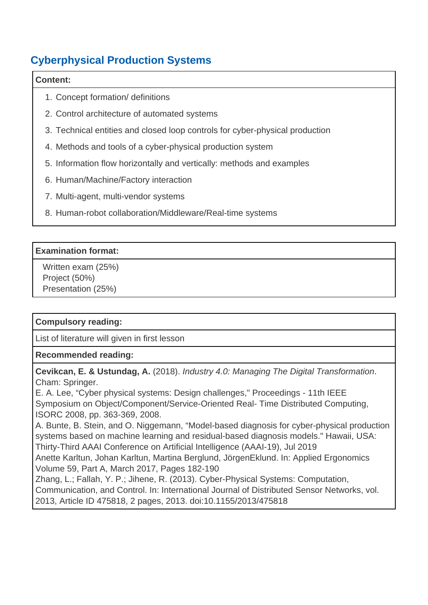## **Cyberphysical Production Systems**

#### **Content:**

- 1. Concept formation/ definitions
- 2. Control architecture of automated systems
- 3. Technical entities and closed loop controls for cyber-physical production
- 4. Methods and tools of a cyber-physical production system
- 5. Information flow horizontally and vertically: methods and examples
- 6. Human/Machine/Factory interaction
- 7. Multi-agent, multi-vendor systems
- 8. Human-robot collaboration/Middleware/Real-time systems

### **Examination format:**

 Written exam (25%) Project (50%) Presentation (25%)

### **Compulsory reading:**

List of literature will given in first lesson

### **Recommended reading:**

**Cevikcan, E. & Ustundag, A.** (2018). Industry 4.0: Managing The Digital Transformation. Cham: Springer.

E. A. Lee, "Cyber physical systems: Design challenges," Proceedings - 11th IEEE Symposium on Object/Component/Service-Oriented Real- Time Distributed Computing, ISORC 2008, pp. 363-369, 2008.

A. Bunte, B. Stein, and O. Niggemann, "Model-based diagnosis for cyber-physical production systems based on machine learning and residual-based diagnosis models." Hawaii, USA: Thirty-Third AAAI Conference on Artificial Intelligence (AAAI-19), Jul 2019

Anette Karltun, Johan Karltun, Martina Berglund, JörgenEklund. In: Applied Ergonomics Volume 59, Part A, March 2017, Pages 182-190

Zhang, L.; Fallah, Y. P.; Jihene, R. (2013). Cyber-Physical Systems: Computation, Communication, and Control. In: International Journal of Distributed Sensor Networks, vol. 2013, Article ID 475818, 2 pages, 2013. doi:10.1155/2013/475818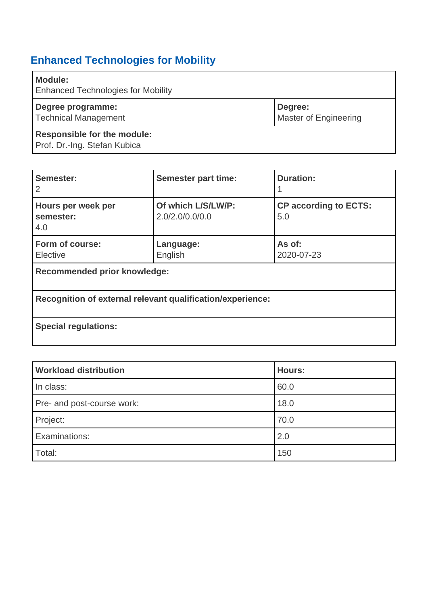# <span id="page-23-0"></span>**Enhanced Technologies for Mobility**

| Module:<br><b>Enhanced Technologies for Mobility</b>               |                                         |
|--------------------------------------------------------------------|-----------------------------------------|
| Degree programme:<br><b>Technical Management</b>                   | Degree:<br><b>Master of Engineering</b> |
| <b>Responsible for the module:</b><br>Prof. Dr.-Ing. Stefan Kubica |                                         |

| Semester:<br>2                                             | <b>Semester part time:</b>            | <b>Duration:</b>                    |
|------------------------------------------------------------|---------------------------------------|-------------------------------------|
| Hours per week per<br>semester:<br>4.0                     | Of which L/S/LW/P:<br>2.0/2.0/0.0/0.0 | <b>CP according to ECTS:</b><br>5.0 |
| Form of course:<br>Elective                                | Language:<br>English                  | As of:<br>2020-07-23                |
| <b>Recommended prior knowledge:</b>                        |                                       |                                     |
| Recognition of external relevant qualification/experience: |                                       |                                     |
| <b>Special regulations:</b>                                |                                       |                                     |

| <b>Workload distribution</b> | <b>Hours:</b> |
|------------------------------|---------------|
| In class:                    | 60.0          |
| Pre- and post-course work:   | 18.0          |
| Project:                     | 70.0          |
| Examinations:                | 2.0           |
| Total:                       | 150           |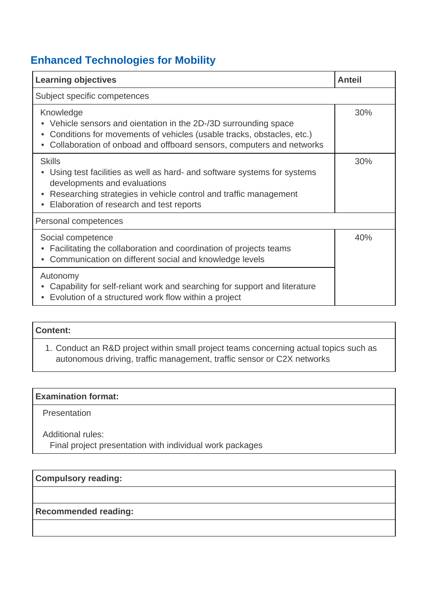## **Enhanced Technologies for Mobility**

| <b>Learning objectives</b>                                                                                                                                                                                                               | <b>Anteil</b> |
|------------------------------------------------------------------------------------------------------------------------------------------------------------------------------------------------------------------------------------------|---------------|
| Subject specific competences                                                                                                                                                                                                             |               |
| Knowledge<br>Vehicle sensors and oientation in the 2D-/3D surrounding space<br>Conditions for movements of vehicles (usable tracks, obstacles, etc.)<br>Collaboration of onboad and offboard sensors, computers and networks             | 30%           |
| <b>Skills</b><br>Using test facilities as well as hard- and software systems for systems<br>developments and evaluations<br>Researching strategies in vehicle control and traffic management<br>Elaboration of research and test reports | 30%           |
| Personal competences                                                                                                                                                                                                                     |               |
| Social competence<br>Facilitating the collaboration and coordination of projects teams<br>Communication on different social and knowledge levels                                                                                         | 40%           |
| Autonomy<br>Capability for self-reliant work and searching for support and literature<br>Evolution of a structured work flow within a project                                                                                            |               |

### **Content:**

 1. Conduct an R&D project within small project teams concerning actual topics such as autonomous driving, traffic management, traffic sensor or C2X networks

#### **Examination format:**

**Presentation** 

Additional rules:

Final project presentation with individual work packages

### **Compulsory reading:**

### **Recommended reading:**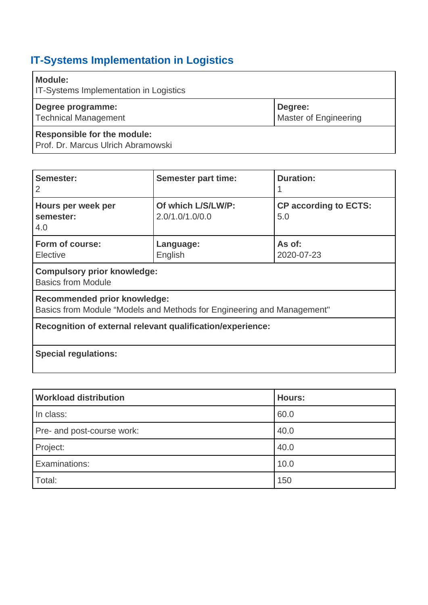<span id="page-25-0"></span>

| Module:<br><b>IT-Systems Implementation in Logistics</b>                 |                                         |
|--------------------------------------------------------------------------|-----------------------------------------|
| Degree programme:<br><b>Technical Management</b>                         | Degree:<br><b>Master of Engineering</b> |
| <b>Responsible for the module:</b><br>Prof. Dr. Marcus Ulrich Abramowski |                                         |

| Semester:<br>2                                                                                         | <b>Semester part time:</b>            | <b>Duration:</b>                    |
|--------------------------------------------------------------------------------------------------------|---------------------------------------|-------------------------------------|
| Hours per week per<br>semester:<br>4.0                                                                 | Of which L/S/LW/P:<br>2.0/1.0/1.0/0.0 | <b>CP according to ECTS:</b><br>5.0 |
| Form of course:<br>Elective                                                                            | Language:<br>English                  | As of:<br>2020-07-23                |
| <b>Compulsory prior knowledge:</b><br><b>Basics from Module</b>                                        |                                       |                                     |
| Recommended prior knowledge:<br>Basics from Module "Models and Methods for Engineering and Management" |                                       |                                     |
| Recognition of external relevant qualification/experience:                                             |                                       |                                     |
| <b>Special regulations:</b>                                                                            |                                       |                                     |

| <b>Workload distribution</b> | <b>Hours:</b> |
|------------------------------|---------------|
| In class:                    | 60.0          |
| Pre- and post-course work:   | 40.0          |
| Project:                     | 40.0          |
| Examinations:                | 10.0          |
| Total:                       | 150           |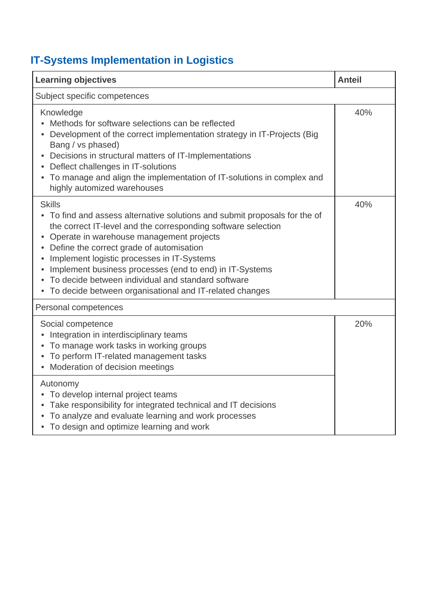| <b>Learning objectives</b>                                                                                                                                                                                                                                                                                                                                                                                                                                                                                 | <b>Anteil</b> |
|------------------------------------------------------------------------------------------------------------------------------------------------------------------------------------------------------------------------------------------------------------------------------------------------------------------------------------------------------------------------------------------------------------------------------------------------------------------------------------------------------------|---------------|
| Subject specific competences                                                                                                                                                                                                                                                                                                                                                                                                                                                                               |               |
| Knowledge<br>Methods for software selections can be reflected<br>Development of the correct implementation strategy in IT-Projects (Big<br>Bang / vs phased)<br>Decisions in structural matters of IT-Implementations<br>$\bullet$<br>Deflect challenges in IT-solutions<br>• To manage and align the implementation of IT-solutions in complex and<br>highly automized warehouses                                                                                                                         | 40%           |
| <b>Skills</b><br>• To find and assess alternative solutions and submit proposals for the of<br>the correct IT-level and the corresponding software selection<br>Operate in warehouse management projects<br>Define the correct grade of automisation<br>Implement logistic processes in IT-Systems<br>Implement business processes (end to end) in IT-Systems<br>$\bullet$<br>To decide between individual and standard software<br>$\bullet$<br>• To decide between organisational and IT-related changes | 40%           |
| Personal competences                                                                                                                                                                                                                                                                                                                                                                                                                                                                                       |               |
| Social competence<br>Integration in interdisciplinary teams<br>To manage work tasks in working groups<br>٠<br>To perform IT-related management tasks<br>$\bullet$<br>Moderation of decision meetings<br>$\bullet$                                                                                                                                                                                                                                                                                          | 20%           |
| Autonomy<br>• To develop internal project teams<br>• Take responsibility for integrated technical and IT decisions<br>To analyze and evaluate learning and work processes<br>$\bullet$<br>• To design and optimize learning and work                                                                                                                                                                                                                                                                       |               |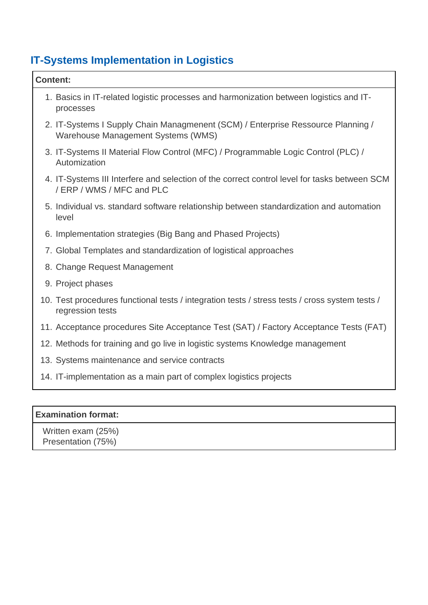| <b>Content:</b>                                                                                                           |
|---------------------------------------------------------------------------------------------------------------------------|
| 1. Basics in IT-related logistic processes and harmonization between logistics and IT-<br>processes                       |
| 2. IT-Systems I Supply Chain Managmenent (SCM) / Enterprise Ressource Planning /<br>Warehouse Management Systems (WMS)    |
| 3. IT-Systems II Material Flow Control (MFC) / Programmable Logic Control (PLC) /<br>Automization                         |
| 4. IT-Systems III Interfere and selection of the correct control level for tasks between SCM<br>/ ERP / WMS / MFC and PLC |
| 5. Individual vs. standard software relationship between standardization and automation<br>level                          |
| 6. Implementation strategies (Big Bang and Phased Projects)                                                               |
| 7. Global Templates and standardization of logistical approaches                                                          |
| 8. Change Request Management                                                                                              |
| 9. Project phases                                                                                                         |
| 10. Test procedures functional tests / integration tests / stress tests / cross system tests /<br>regression tests        |
| 11. Acceptance procedures Site Acceptance Test (SAT) / Factory Acceptance Tests (FAT)                                     |
| 12. Methods for training and go live in logistic systems Knowledge management                                             |
| 13. Systems maintenance and service contracts                                                                             |
| 14. IT-implementation as a main part of complex logistics projects                                                        |
|                                                                                                                           |
| <b>Examination format:</b>                                                                                                |

Written exam (25%)

Presentation (75%)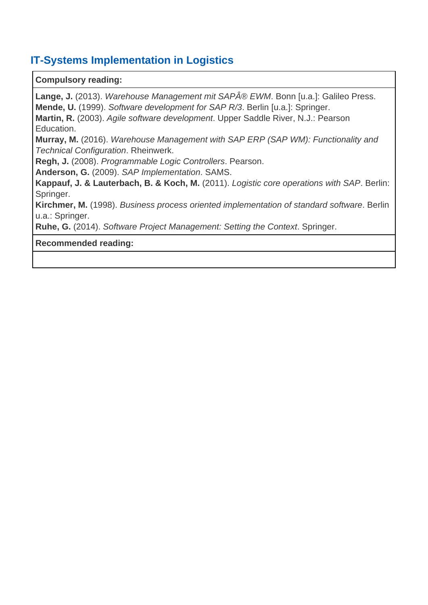### **Compulsory reading:**

Lange, J. (2013). Warehouse Management mit SAP® EWM. Bonn [u.a.]: Galileo Press. **Mende, U.** (1999). Software development for SAP R/3. Berlin [u.a.]: Springer.

**Martin, R.** (2003). Agile software development. Upper Saddle River, N.J.: Pearson Education.

**Murray, M.** (2016). Warehouse Management with SAP ERP (SAP WM): Functionality and Technical Configuration. Rheinwerk.

**Regh, J.** (2008). Programmable Logic Controllers. Pearson.

**Anderson, G.** (2009). SAP Implementation. SAMS.

**Kappauf, J. & Lauterbach, B. & Koch, M.** (2011). Logistic core operations with SAP. Berlin: Springer.

**Kirchmer, M.** (1998). Business process oriented implementation of standard software. Berlin u.a.: Springer.

**Ruhe, G.** (2014). Software Project Management: Setting the Context. Springer.

### **Recommended reading:**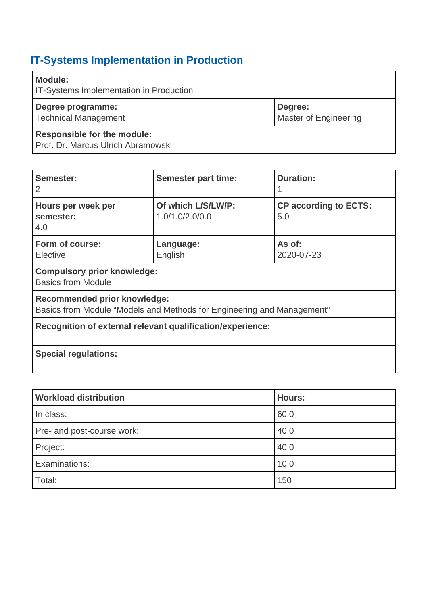<span id="page-29-0"></span>

| <b>Module:</b><br><b>IT-Systems Implementation in Production</b>         |                                         |
|--------------------------------------------------------------------------|-----------------------------------------|
| Degree programme:<br><b>Technical Management</b>                         | Degree:<br><b>Master of Engineering</b> |
| <b>Responsible for the module:</b><br>Prof. Dr. Marcus Ulrich Abramowski |                                         |

| Semester:<br>2                                                  | <b>Semester part time:</b>                                             | <b>Duration:</b>                    |
|-----------------------------------------------------------------|------------------------------------------------------------------------|-------------------------------------|
| Hours per week per<br>semester:<br>4.0                          | Of which L/S/LW/P:<br>1.0/1.0/2.0/0.0                                  | <b>CP according to ECTS:</b><br>5.0 |
| Form of course:<br>Elective                                     | Language:<br>English                                                   | As of:<br>2020-07-23                |
| <b>Compulsory prior knowledge:</b><br><b>Basics from Module</b> |                                                                        |                                     |
| <b>Recommended prior knowledge:</b>                             | Basics from Module "Models and Methods for Engineering and Management" |                                     |
|                                                                 | Recognition of external relevant qualification/experience:             |                                     |
| <b>Special regulations:</b>                                     |                                                                        |                                     |

| <b>Workload distribution</b> | <b>Hours:</b> |
|------------------------------|---------------|
| In class:                    | 60.0          |
| Pre- and post-course work:   | 40.0          |
| Project:                     | 40.0          |
| Examinations:                | 10.0          |
| Total:                       | 150           |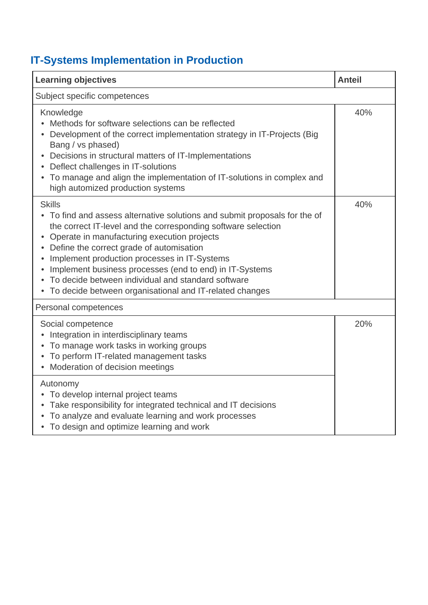| <b>Learning objectives</b>                                                                                                                                                                                                                                                                                                                                                                                                                                                                         | <b>Anteil</b> |
|----------------------------------------------------------------------------------------------------------------------------------------------------------------------------------------------------------------------------------------------------------------------------------------------------------------------------------------------------------------------------------------------------------------------------------------------------------------------------------------------------|---------------|
| Subject specific competences                                                                                                                                                                                                                                                                                                                                                                                                                                                                       |               |
| Knowledge<br>Methods for software selections can be reflected<br>Development of the correct implementation strategy in IT-Projects (Big<br>Bang / vs phased)<br>Decisions in structural matters of IT-Implementations<br>$\bullet$<br>Deflect challenges in IT-solutions<br>• To manage and align the implementation of IT-solutions in complex and<br>high automized production systems                                                                                                           | 40%           |
| <b>Skills</b><br>• To find and assess alternative solutions and submit proposals for the of<br>the correct IT-level and the corresponding software selection<br>Operate in manufacturing execution projects<br>Define the correct grade of automisation<br>Implement production processes in IT-Systems<br>Implement business processes (end to end) in IT-Systems<br>$\bullet$<br>To decide between individual and standard software<br>• To decide between organisational and IT-related changes | 40%           |
| Personal competences                                                                                                                                                                                                                                                                                                                                                                                                                                                                               |               |
| Social competence<br>Integration in interdisciplinary teams<br>To manage work tasks in working groups<br>$\bullet$<br>To perform IT-related management tasks<br>٠<br>Moderation of decision meetings<br>$\bullet$                                                                                                                                                                                                                                                                                  | 20%           |
| Autonomy<br>• To develop internal project teams<br>• Take responsibility for integrated technical and IT decisions<br>To analyze and evaluate learning and work processes<br>• To design and optimize learning and work                                                                                                                                                                                                                                                                            |               |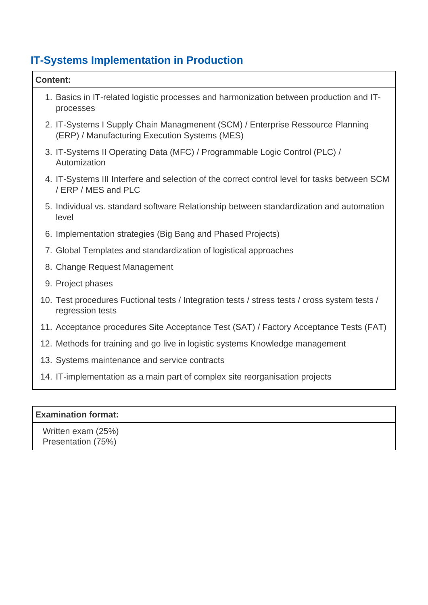| <b>Content:</b> |                                                                                                                                 |
|-----------------|---------------------------------------------------------------------------------------------------------------------------------|
|                 | 1. Basics in IT-related logistic processes and harmonization between production and IT-<br>processes                            |
|                 | 2. IT-Systems I Supply Chain Managmenent (SCM) / Enterprise Ressource Planning<br>(ERP) / Manufacturing Execution Systems (MES) |
|                 | 3. IT-Systems II Operating Data (MFC) / Programmable Logic Control (PLC) /<br>Automization                                      |
|                 | 4. IT-Systems III Interfere and selection of the correct control level for tasks between SCM<br>/ ERP / MES and PLC             |
|                 | 5. Individual vs. standard software Relationship between standardization and automation<br>level                                |
|                 | 6. Implementation strategies (Big Bang and Phased Projects)                                                                     |
|                 | 7. Global Templates and standardization of logistical approaches                                                                |
|                 | 8. Change Request Management                                                                                                    |
|                 | 9. Project phases                                                                                                               |
|                 | 10. Test procedures Fuctional tests / Integration tests / stress tests / cross system tests /<br>regression tests               |
|                 | 11. Acceptance procedures Site Acceptance Test (SAT) / Factory Acceptance Tests (FAT)                                           |
|                 | 12. Methods for training and go live in logistic systems Knowledge management                                                   |
|                 | 13. Systems maintenance and service contracts                                                                                   |
|                 | 14. IT-implementation as a main part of complex site reorganisation projects                                                    |
|                 |                                                                                                                                 |
|                 |                                                                                                                                 |

### **Examination format:**

 Written exam (25%) Presentation (75%)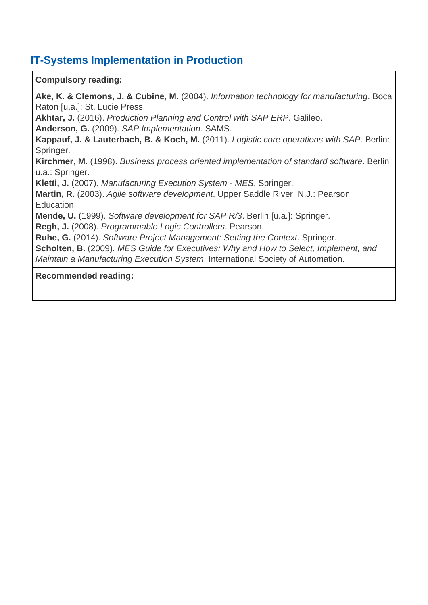### **Compulsory reading:**

**Ake, K. & Clemons, J. & Cubine, M.** (2004). Information technology for manufacturing. Boca Raton [u.a.]: St. Lucie Press. **Akhtar, J.** (2016). Production Planning and Control with SAP ERP. Galileo. **Anderson, G.** (2009). SAP Implementation. SAMS. **Kappauf, J. & Lauterbach, B. & Koch, M.** (2011). Logistic core operations with SAP. Berlin: Springer. **Kirchmer, M.** (1998). Business process oriented implementation of standard software. Berlin u.a.: Springer. **Kletti, J.** (2007). Manufacturing Execution System - MES. Springer. **Martin, R.** (2003). Agile software development. Upper Saddle River, N.J.: Pearson Education. **Mende, U.** (1999). Software development for SAP R/3. Berlin [u.a.]: Springer. **Regh, J.** (2008). Programmable Logic Controllers. Pearson. **Ruhe, G.** (2014). Software Project Management: Setting the Context. Springer. **Scholten, B.** (2009). MES Guide for Executives: Why and How to Select, Implement, and Maintain a Manufacturing Execution System. International Society of Automation.

#### **Recommended reading:**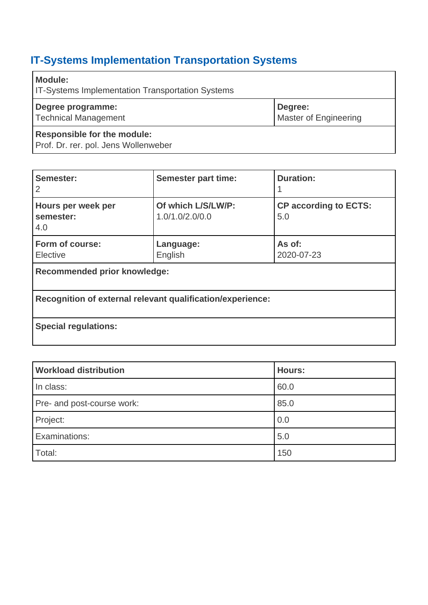# <span id="page-33-0"></span>**IT-Systems Implementation Transportation Systems**

| <b>Module:</b><br><b>IT-Systems Implementation Transportation Systems</b>  |                                         |
|----------------------------------------------------------------------------|-----------------------------------------|
| Degree programme:<br><b>Technical Management</b>                           | Degree:<br><b>Master of Engineering</b> |
| <b>Responsible for the module:</b><br>Prof. Dr. rer. pol. Jens Wollenweber |                                         |

| Semester:<br>2                         | <b>Semester part time:</b>                                 | <b>Duration:</b>                    |
|----------------------------------------|------------------------------------------------------------|-------------------------------------|
| Hours per week per<br>semester:<br>4.0 | Of which L/S/LW/P:<br>1.0/1.0/2.0/0.0                      | <b>CP according to ECTS:</b><br>5.0 |
| Form of course:<br>Elective            | Language:<br>English                                       | As of:<br>2020-07-23                |
| <b>Recommended prior knowledge:</b>    |                                                            |                                     |
|                                        | Recognition of external relevant qualification/experience: |                                     |
| <b>Special regulations:</b>            |                                                            |                                     |

| <b>Workload distribution</b> | Hours: |
|------------------------------|--------|
| In class:                    | 60.0   |
| Pre- and post-course work:   | 85.0   |
| Project:                     | 0.0    |
| Examinations:                | 5.0    |
| Total:                       | 150    |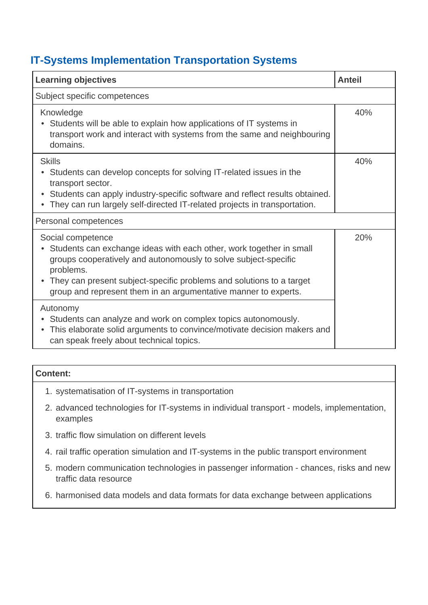### **IT-Systems Implementation Transportation Systems**

| <b>Learning objectives</b>                                                                                                                                                                                                                                                                                            | <b>Anteil</b> |
|-----------------------------------------------------------------------------------------------------------------------------------------------------------------------------------------------------------------------------------------------------------------------------------------------------------------------|---------------|
| Subject specific competences                                                                                                                                                                                                                                                                                          |               |
| Knowledge<br>Students will be able to explain how applications of IT systems in<br>transport work and interact with systems from the same and neighbouring<br>domains.                                                                                                                                                | 40%           |
| <b>Skills</b><br>Students can develop concepts for solving IT-related issues in the<br>transport sector.<br>Students can apply industry-specific software and reflect results obtained.<br>They can run largely self-directed IT-related projects in transportation.                                                  | 40%           |
| Personal competences                                                                                                                                                                                                                                                                                                  |               |
| Social competence<br>Students can exchange ideas with each other, work together in small<br>groups cooperatively and autonomously to solve subject-specific<br>problems.<br>• They can present subject-specific problems and solutions to a target<br>group and represent them in an argumentative manner to experts. | 20%           |
| Autonomy<br>Students can analyze and work on complex topics autonomously.<br>This elaborate solid arguments to convince/motivate decision makers and<br>can speak freely about technical topics.                                                                                                                      |               |

| <b>Content:</b>                                    |
|----------------------------------------------------|
| 1. systematisation of IT-systems in transportation |

- 2. advanced technologies for IT-systems in individual transport models, implementation, examples
- 3. traffic flow simulation on different levels
- 4. rail traffic operation simulation and IT-systems in the public transport environment
- 5. modern communication technologies in passenger information chances, risks and new traffic data resource
- 6. harmonised data models and data formats for data exchange between applications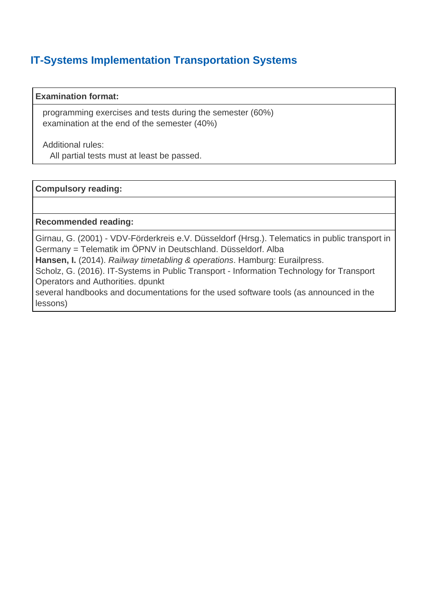### **IT-Systems Implementation Transportation Systems**

### **Examination format:**

 programming exercises and tests during the semester (60%) examination at the end of the semester (40%)

Additional rules:

All partial tests must at least be passed.

### **Compulsory reading:**

**Recommended reading:**

Girnau, G. (2001) - VDV-Förderkreis e.V. Düsseldorf (Hrsg.). Telematics in public transport in Germany = Telematik im ÖPNV in Deutschland. Düsseldorf. Alba

**Hansen, I.** (2014). Railway timetabling & operations. Hamburg: Eurailpress.

Scholz, G. (2016). IT-Systems in Public Transport - Information Technology for Transport Operators and Authorities. dpunkt

several handbooks and documentations for the used software tools (as announced in the lessons)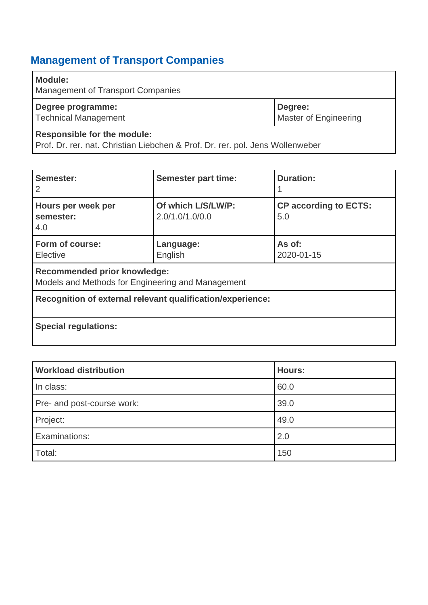## <span id="page-36-0"></span>**Management of Transport Companies**

| Module:<br><b>Management of Transport Companies</b> |                                         |
|-----------------------------------------------------|-----------------------------------------|
| Degree programme:<br><b>Technical Management</b>    | Degree:<br><b>Master of Engineering</b> |
| <b>Responsible for the module:</b>                  |                                         |

Prof. Dr. rer. nat. Christian Liebchen & Prof. Dr. rer. pol. Jens Wollenweber

| Semester:<br>2                                                                           | <b>Semester part time:</b>            | <b>Duration:</b>                    |
|------------------------------------------------------------------------------------------|---------------------------------------|-------------------------------------|
| Hours per week per<br>semester:<br>4.0                                                   | Of which L/S/LW/P:<br>2.0/1.0/1.0/0.0 | <b>CP according to ECTS:</b><br>5.0 |
| Form of course:<br>Elective                                                              | Language:<br>English                  | As of:<br>2020-01-15                |
| <b>Recommended prior knowledge:</b><br>Models and Methods for Engineering and Management |                                       |                                     |
| Recognition of external relevant qualification/experience:                               |                                       |                                     |
| <b>Special regulations:</b>                                                              |                                       |                                     |

| <b>Workload distribution</b> | Hours: |
|------------------------------|--------|
| In class:                    | 60.0   |
| Pre- and post-course work:   | 39.0   |
| Project:                     | 49.0   |
| Examinations:                | 2.0    |
| Total:                       | 150    |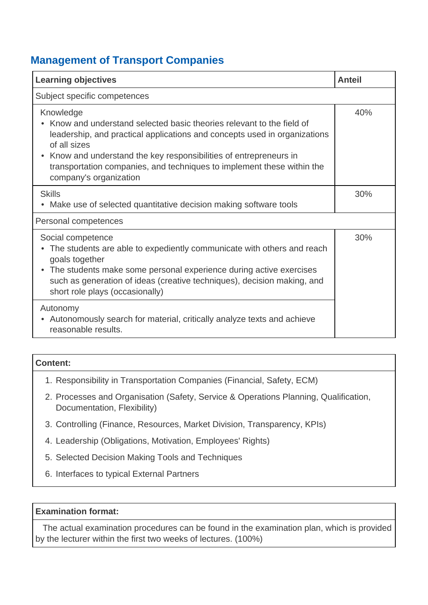### **Management of Transport Companies**

| <b>Learning objectives</b>                                                                                                                                                                                                                                                                                                                               | Anteil |
|----------------------------------------------------------------------------------------------------------------------------------------------------------------------------------------------------------------------------------------------------------------------------------------------------------------------------------------------------------|--------|
| Subject specific competences                                                                                                                                                                                                                                                                                                                             |        |
| Knowledge<br>Know and understand selected basic theories relevant to the field of<br>leadership, and practical applications and concepts used in organizations<br>of all sizes<br>• Know and understand the key responsibilities of entrepreneurs in<br>transportation companies, and techniques to implement these within the<br>company's organization | 40%    |
| <b>Skills</b><br>Make use of selected quantitative decision making software tools                                                                                                                                                                                                                                                                        | 30%    |
| Personal competences                                                                                                                                                                                                                                                                                                                                     |        |
| Social competence<br>The students are able to expediently communicate with others and reach<br>goals together<br>• The students make some personal experience during active exercises<br>such as generation of ideas (creative techniques), decision making, and<br>short role plays (occasionally)                                                      | 30%    |
| Autonomy<br>Autonomously search for material, critically analyze texts and achieve<br>reasonable results.                                                                                                                                                                                                                                                |        |

| Content:                                                               |  |
|------------------------------------------------------------------------|--|
| 1. Responsibility in Transportation Companies (Financial, Safety, ECM) |  |

- 2. Processes and Organisation (Safety, Service & Operations Planning, Qualification, Documentation, Flexibility)
- 3. Controlling (Finance, Resources, Market Division, Transparency, KPIs)
- 4. Leadership (Obligations, Motivation, Employees' Rights)
- 5. Selected Decision Making Tools and Techniques
- 6. Interfaces to typical External Partners

#### **Examination format:**

 The actual examination procedures can be found in the examination plan, which is provided by the lecturer within the first two weeks of lectures. (100%)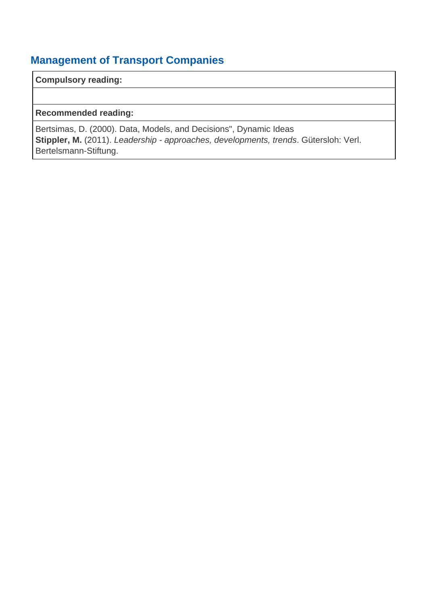### **Management of Transport Companies**

**Compulsory reading:**

**Recommended reading:**

Bertsimas, D. (2000). Data, Models, and Decisions", Dynamic Ideas Stippler, M. (2011). Leadership - approaches, developments, trends. Gütersloh: Verl. Bertelsmann-Stiftung.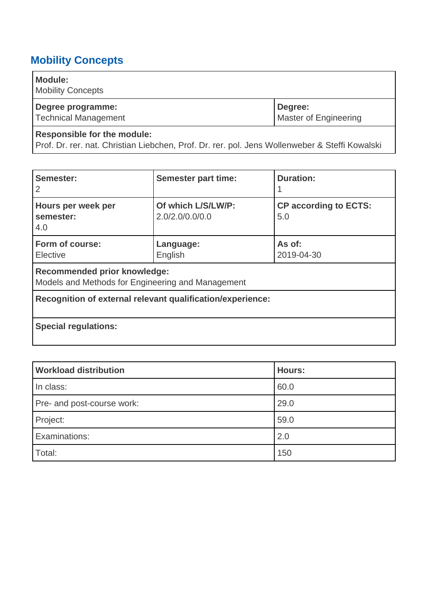### <span id="page-39-0"></span>**Mobility Concepts**

| <b>Module:</b><br><b>Mobility Concepts</b> |                                  |
|--------------------------------------------|----------------------------------|
| Degree programme:<br>Technical Management  | Degree:<br>Master of Engineering |
|                                            |                                  |

### **Responsible for the module:**

Prof. Dr. rer. nat. Christian Liebchen, Prof. Dr. rer. pol. Jens Wollenweber & Steffi Kowalski

| Semester:<br>2                                                                           | <b>Semester part time:</b>            | <b>Duration:</b>                    |
|------------------------------------------------------------------------------------------|---------------------------------------|-------------------------------------|
| Hours per week per<br>semester:<br>4.0                                                   | Of which L/S/LW/P:<br>2.0/2.0/0.0/0.0 | <b>CP according to ECTS:</b><br>5.0 |
| Form of course:<br>Elective                                                              | Language:<br>English                  | As of:<br>2019-04-30                |
| <b>Recommended prior knowledge:</b><br>Models and Methods for Engineering and Management |                                       |                                     |
| Recognition of external relevant qualification/experience:                               |                                       |                                     |
| <b>Special regulations:</b>                                                              |                                       |                                     |

| <b>Workload distribution</b> | <b>Hours:</b> |
|------------------------------|---------------|
| In class:                    | 60.0          |
| Pre- and post-course work:   | 29.0          |
| Project:                     | 59.0          |
| Examinations:                | 2.0           |
| Total:                       | 150           |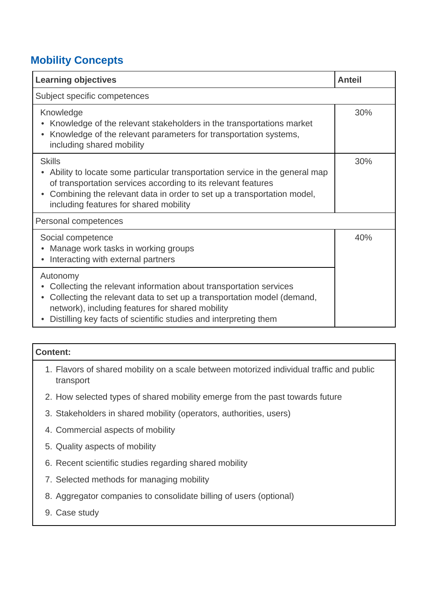### **Mobility Concepts**

| <b>Learning objectives</b>                                                                                                                                                                                                                                                                     | <b>Anteil</b> |  |
|------------------------------------------------------------------------------------------------------------------------------------------------------------------------------------------------------------------------------------------------------------------------------------------------|---------------|--|
| Subject specific competences                                                                                                                                                                                                                                                                   |               |  |
| Knowledge<br>Knowledge of the relevant stakeholders in the transportations market<br>Knowledge of the relevant parameters for transportation systems,<br>including shared mobility                                                                                                             | 30%           |  |
| <b>Skills</b><br>Ability to locate some particular transportation service in the general map<br>of transportation services according to its relevant features<br>Combining the relevant data in order to set up a transportation model,<br>$\bullet$<br>including features for shared mobility | 30%           |  |
| Personal competences                                                                                                                                                                                                                                                                           |               |  |
| Social competence<br>Manage work tasks in working groups<br>Interacting with external partners                                                                                                                                                                                                 | 40%           |  |
| Autonomy<br>Collecting the relevant information about transportation services<br>Collecting the relevant data to set up a transportation model (demand,<br>network), including features for shared mobility<br>Distilling key facts of scientific studies and interpreting them                |               |  |

#### **Content:**

- 1. Flavors of shared mobility on a scale between motorized individual traffic and public transport
- 2. How selected types of shared mobility emerge from the past towards future
- 3. Stakeholders in shared mobility (operators, authorities, users)
- 4. Commercial aspects of mobility
- 5. Quality aspects of mobility
- 6. Recent scientific studies regarding shared mobility
- 7. Selected methods for managing mobility
- 8. Aggregator companies to consolidate billing of users (optional)
- 9. Case study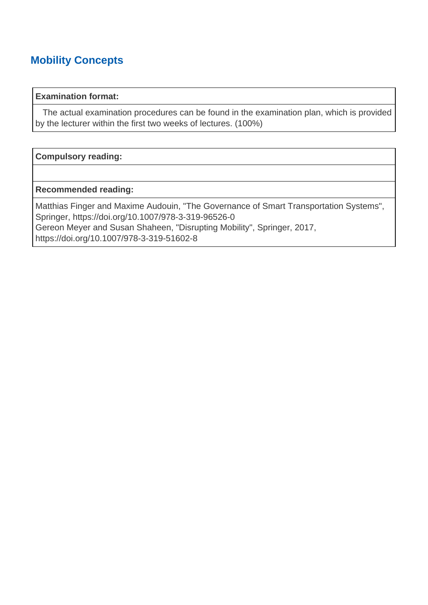### **Mobility Concepts**

#### **Examination format:**

 The actual examination procedures can be found in the examination plan, which is provided by the lecturer within the first two weeks of lectures. (100%)

#### **Compulsory reading:**

#### **Recommended reading:**

Matthias Finger and Maxime Audouin, "The Governance of Smart Transportation Systems", Springer, https://doi.org/10.1007/978-3-319-96526-0 Gereon Meyer and Susan Shaheen, "Disrupting Mobility", Springer, 2017, https://doi.org/10.1007/978-3-319-51602-8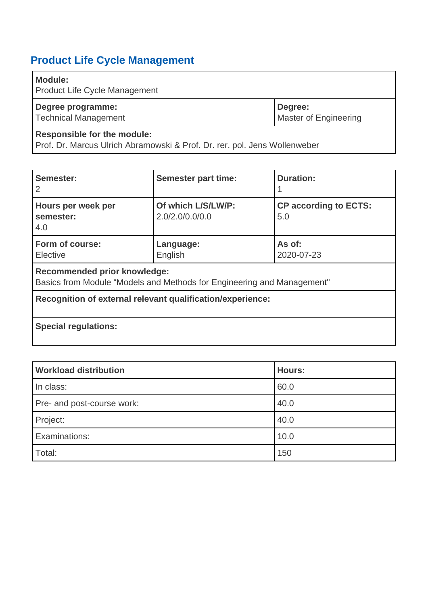### <span id="page-42-0"></span>**Product Life Cycle Management**

### **Module:**

Product Life Cycle Management

| Degree programme:    | Degree:                      |
|----------------------|------------------------------|
| Technical Management | <b>Master of Engineering</b> |
|                      |                              |

### **Responsible for the module:**

Prof. Dr. Marcus Ulrich Abramowski & Prof. Dr. rer. pol. Jens Wollenweber

| Semester:<br>2                                                                                                | <b>Semester part time:</b>            | <b>Duration:</b>                    |
|---------------------------------------------------------------------------------------------------------------|---------------------------------------|-------------------------------------|
| Hours per week per<br>semester:<br>4.0                                                                        | Of which L/S/LW/P:<br>2.0/2.0/0.0/0.0 | <b>CP according to ECTS:</b><br>5.0 |
| Form of course:<br>Elective                                                                                   | Language:<br>English                  | As of:<br>2020-07-23                |
| <b>Recommended prior knowledge:</b><br>Basics from Module "Models and Methods for Engineering and Management" |                                       |                                     |
| Recognition of external relevant qualification/experience:                                                    |                                       |                                     |
| <b>Special regulations:</b>                                                                                   |                                       |                                     |

| <b>Workload distribution</b> | <b>Hours:</b> |
|------------------------------|---------------|
| In class:                    | 60.0          |
| Pre- and post-course work:   | 40.0          |
| Project:                     | 40.0          |
| Examinations:                | 10.0          |
| Total:                       | 150           |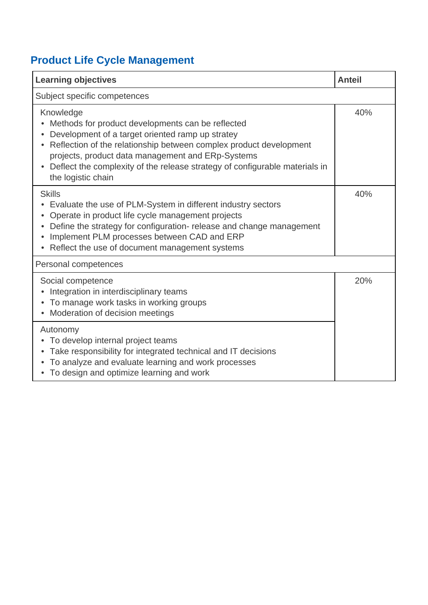# **Product Life Cycle Management**

| <b>Learning objectives</b>                                                                                                                                                                                                                                                                                                                         | <b>Anteil</b> |  |
|----------------------------------------------------------------------------------------------------------------------------------------------------------------------------------------------------------------------------------------------------------------------------------------------------------------------------------------------------|---------------|--|
| Subject specific competences                                                                                                                                                                                                                                                                                                                       |               |  |
| Knowledge<br>Methods for product developments can be reflected<br>Development of a target oriented ramp up stratey<br>Reflection of the relationship between complex product development<br>projects, product data management and ERp-Systems<br>Deflect the complexity of the release strategy of configurable materials in<br>the logistic chain | 40%           |  |
| <b>Skills</b><br>Evaluate the use of PLM-System in different industry sectors<br>Operate in product life cycle management projects<br>Define the strategy for configuration-release and change management<br>Implement PLM processes between CAD and ERP<br>Reflect the use of document management systems                                         | 40%           |  |
| Personal competences                                                                                                                                                                                                                                                                                                                               |               |  |
| Social competence<br>Integration in interdisciplinary teams<br>To manage work tasks in working groups<br>Moderation of decision meetings                                                                                                                                                                                                           | 20%           |  |
| Autonomy<br>To develop internal project teams<br>Take responsibility for integrated technical and IT decisions<br>To analyze and evaluate learning and work processes<br>• To design and optimize learning and work                                                                                                                                |               |  |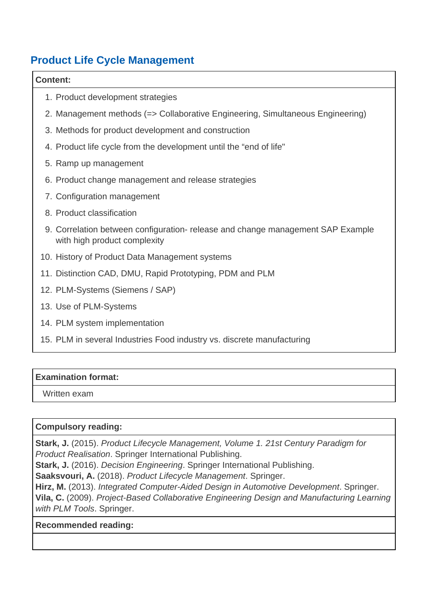### **Product Life Cycle Management**

#### **Content:**

- 1. Product development strategies
- 2. Management methods (=> Collaborative Engineering, Simultaneous Engineering)
- 3. Methods for product development and construction
- 4. Product life cycle from the development until the "end of life"
- 5. Ramp up management
- 6. Product change management and release strategies
- 7. Configuration management
- 8. Product classification
- 9. Correlation between configuration- release and change management SAP Example with high product complexity
- 10. History of Product Data Management systems
- 11. Distinction CAD, DMU, Rapid Prototyping, PDM and PLM
- 12. PLM-Systems (Siemens / SAP)
- 13. Use of PLM-Systems
- 14. PLM system implementation
- 15. PLM in several Industries Food industry vs. discrete manufacturing

### **Examination format:**

Written exam

### **Compulsory reading:**

**Stark, J.** (2015). Product Lifecycle Management, Volume 1. 21st Century Paradigm for Product Realisation. Springer International Publishing.

**Stark, J.** (2016). Decision Engineering. Springer International Publishing.

**Saaksvouri, A.** (2018). Product Lifecycle Management. Springer.

**Hirz, M.** (2013). Integrated Computer-Aided Design in Automotive Development. Springer.

**Vila, C.** (2009). Project-Based Collaborative Engineering Design and Manufacturing Learning with PLM Tools. Springer.

### **Recommended reading:**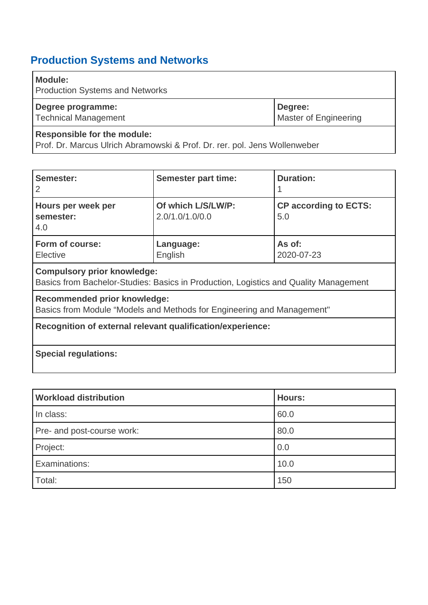<span id="page-45-0"></span>

| <b>Module:</b><br><b>Production Systems and Networks</b> |                                  |
|----------------------------------------------------------|----------------------------------|
| Degree programme:<br>Technical Management                | Degree:<br>Master of Engineering |
| <b>Responsible for the module:</b>                       |                                  |

Prof. Dr. Marcus Ulrich Abramowski & Prof. Dr. rer. pol. Jens Wollenweber

| Semester:<br>2                                                                                                             | <b>Semester part time:</b>            | <b>Duration:</b>                    |
|----------------------------------------------------------------------------------------------------------------------------|---------------------------------------|-------------------------------------|
| Hours per week per<br>semester:<br>4.0                                                                                     | Of which L/S/LW/P:<br>2.0/1.0/1.0/0.0 | <b>CP according to ECTS:</b><br>5.0 |
| Form of course:<br>Elective                                                                                                | Language:<br>English                  | As of:<br>2020-07-23                |
| <b>Compulsory prior knowledge:</b><br>Basics from Bachelor-Studies: Basics in Production, Logistics and Quality Management |                                       |                                     |
| <b>Recommended prior knowledge:</b>                                                                                        |                                       |                                     |

Basics from Module "Models and Methods for Engineering and Management"

**Recognition of external relevant qualification/experience:**

### **Special regulations:**

| <b>Workload distribution</b> | <b>Hours:</b> |
|------------------------------|---------------|
| In class:                    | 60.0          |
| Pre- and post-course work:   | 80.0          |
| Project:                     | 0.0           |
| Examinations:                | 10.0          |
| Total:                       | 150           |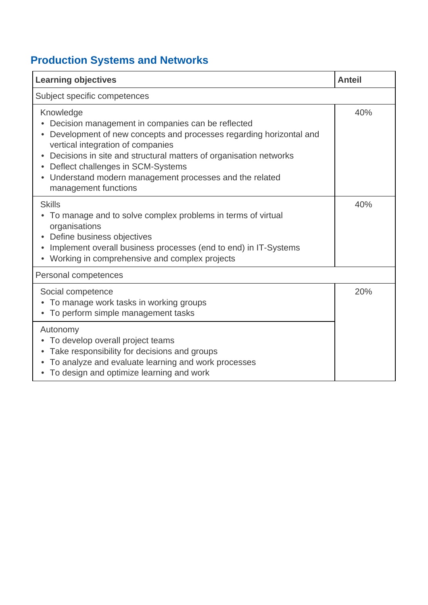| <b>Learning objectives</b>                                                                                                                                                                                                                                                                                                                                                         | <b>Anteil</b> |  |
|------------------------------------------------------------------------------------------------------------------------------------------------------------------------------------------------------------------------------------------------------------------------------------------------------------------------------------------------------------------------------------|---------------|--|
| Subject specific competences                                                                                                                                                                                                                                                                                                                                                       |               |  |
| Knowledge<br>Decision management in companies can be reflected<br>Development of new concepts and processes regarding horizontal and<br>vertical integration of companies<br>Decisions in site and structural matters of organisation networks<br>Deflect challenges in SCM-Systems<br>Understand modern management processes and the related<br>$\bullet$<br>management functions | 40%           |  |
| <b>Skills</b><br>To manage and to solve complex problems in terms of virtual<br>organisations<br>Define business objectives<br>Implement overall business processes (end to end) in IT-Systems<br>Working in comprehensive and complex projects                                                                                                                                    | 40%           |  |
| Personal competences                                                                                                                                                                                                                                                                                                                                                               |               |  |
| Social competence<br>To manage work tasks in working groups<br>• To perform simple management tasks                                                                                                                                                                                                                                                                                | 20%           |  |
| Autonomy<br>• To develop overall project teams<br>Take responsibility for decisions and groups<br>$\bullet$<br>To analyze and evaluate learning and work processes<br>• To design and optimize learning and work                                                                                                                                                                   |               |  |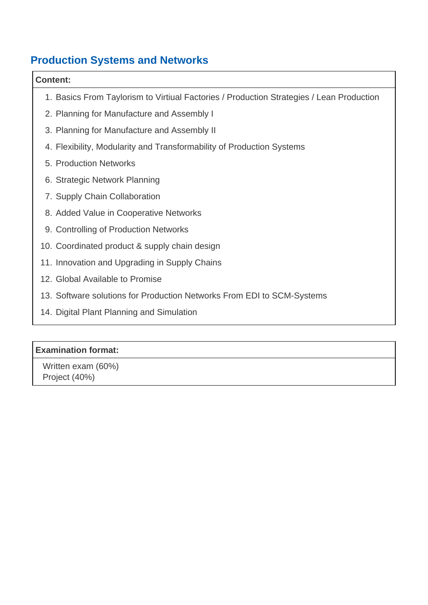### **Content:**

- 1. Basics From Taylorism to Virtiual Factories / Production Strategies / Lean Production
- 2. Planning for Manufacture and Assembly I
- 3. Planning for Manufacture and Assembly II
- 4. Flexibility, Modularity and Transformability of Production Systems
- 5. Production Networks
- 6. Strategic Network Planning
- 7. Supply Chain Collaboration
- 8. Added Value in Cooperative Networks
- 9. Controlling of Production Networks
- 10. Coordinated product & supply chain design
- 11. Innovation and Upgrading in Supply Chains
- 12. Global Available to Promise
- 13. Software solutions for Production Networks From EDI to SCM-Systems
- 14. Digital Plant Planning and Simulation

### **Examination format:**

 Written exam (60%) Project (40%)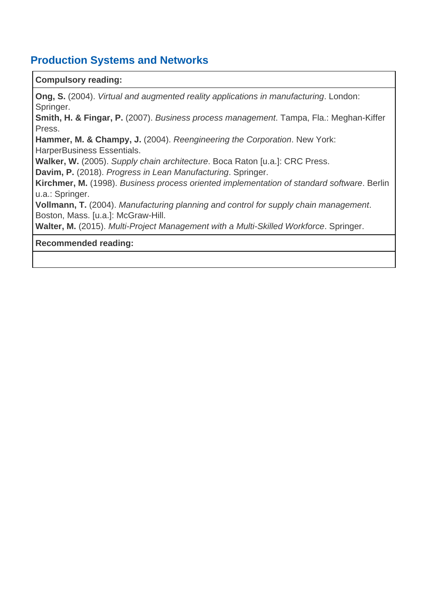#### **Compulsory reading:**

**Ong, S.** (2004). Virtual and augmented reality applications in manufacturing. London: Springer.

**Smith, H. & Fingar, P.** (2007). Business process management. Tampa, Fla.: Meghan-Kiffer Press.

**Hammer, M. & Champy, J.** (2004). Reengineering the Corporation. New York: HarperBusiness Essentials.

**Walker, W.** (2005). Supply chain architecture. Boca Raton [u.a.]: CRC Press.

**Davim, P.** (2018). Progress in Lean Manufacturing. Springer.

**Kirchmer, M.** (1998). Business process oriented implementation of standard software. Berlin u.a.: Springer.

**Vollmann, T.** (2004). Manufacturing planning and control for supply chain management. Boston, Mass. [u.a.]: McGraw-Hill.

**Walter, M.** (2015). Multi-Project Management with a Multi-Skilled Workforce. Springer.

#### **Recommended reading:**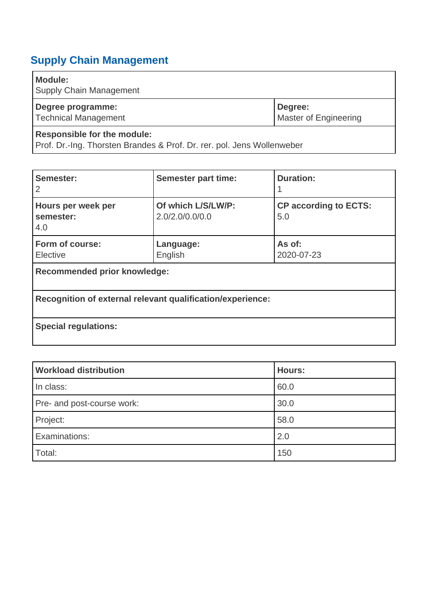## <span id="page-49-0"></span>**Supply Chain Management**

### **Module:**

Supply Chain Management

| Degree programme:    | Degree:               |
|----------------------|-----------------------|
| Technical Management | Master of Engineering |
|                      |                       |

### **Responsible for the module:**

Prof. Dr.-Ing. Thorsten Brandes & Prof. Dr. rer. pol. Jens Wollenweber

| Semester:<br>2                                             | <b>Semester part time:</b>            | <b>Duration:</b>                    |
|------------------------------------------------------------|---------------------------------------|-------------------------------------|
| Hours per week per<br>semester:<br>4.0                     | Of which L/S/LW/P:<br>2.0/2.0/0.0/0.0 | <b>CP according to ECTS:</b><br>5.0 |
| Form of course:<br>Elective                                | Language:<br>English                  | As of:<br>2020-07-23                |
| <b>Recommended prior knowledge:</b>                        |                                       |                                     |
| Recognition of external relevant qualification/experience: |                                       |                                     |
| <b>Special regulations:</b>                                |                                       |                                     |

| <b>Workload distribution</b> | <b>Hours:</b> |
|------------------------------|---------------|
| In class:                    | 60.0          |
| Pre- and post-course work:   | 30.0          |
| Project:                     | 58.0          |
| Examinations:                | 2.0           |
| Total:                       | 150           |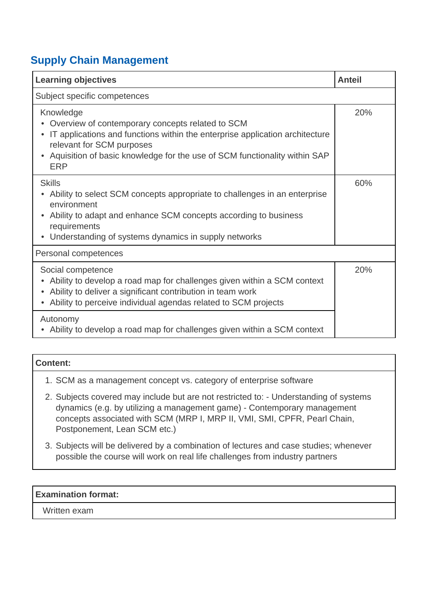### **Supply Chain Management**

| <b>Learning objectives</b>                                                                                                                                                                                                                                              | <b>Anteil</b> |
|-------------------------------------------------------------------------------------------------------------------------------------------------------------------------------------------------------------------------------------------------------------------------|---------------|
| Subject specific competences                                                                                                                                                                                                                                            |               |
| Knowledge<br>Overview of contemporary concepts related to SCM<br>IT applications and functions within the enterprise application architecture<br>relevant for SCM purposes<br>• Aquisition of basic knowledge for the use of SCM functionality within SAP<br><b>ERP</b> | 20%           |
| <b>Skills</b><br>Ability to select SCM concepts appropriate to challenges in an enterprise<br>environment<br>Ability to adapt and enhance SCM concepts according to business<br>requirements<br>• Understanding of systems dynamics in supply networks                  | 60%           |
| Personal competences                                                                                                                                                                                                                                                    |               |
| Social competence<br>Ability to develop a road map for challenges given within a SCM context<br>Ability to deliver a significant contribution in team work<br>Ability to perceive individual agendas related to SCM projects                                            | 20%           |
| Autonomy<br>• Ability to develop a road map for challenges given within a SCM context                                                                                                                                                                                   |               |

| Content:                                                                                                                                                                                                                                                                       |
|--------------------------------------------------------------------------------------------------------------------------------------------------------------------------------------------------------------------------------------------------------------------------------|
| 1. SCM as a management concept vs. category of enterprise software                                                                                                                                                                                                             |
| 2. Subjects covered may include but are not restricted to: - Understanding of systems<br>dynamics (e.g. by utilizing a management game) - Contemporary management<br>concepts associated with SCM (MRP I, MRP II, VMI, SMI, CPFR, Pearl Chain,<br>Postponement, Lean SCM etc.) |

3. Subjects will be delivered by a combination of lectures and case studies; whenever possible the course will work on real life challenges from industry partners

### **Examination format:**

Written exam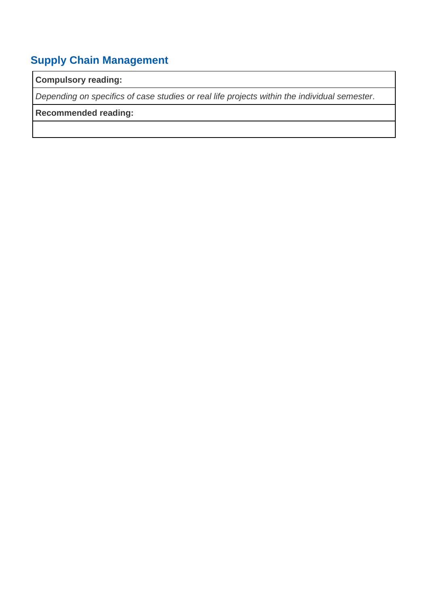## **Supply Chain Management**

### **Compulsory reading:**

Depending on specifics of case studies or real life projects within the individual semester.

### **Recommended reading:**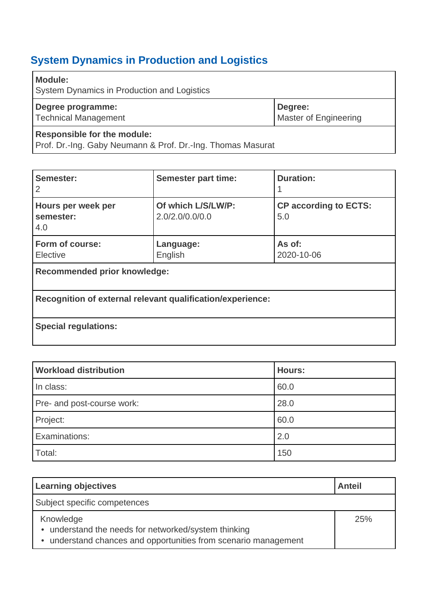<span id="page-52-0"></span>

| <b>Module:</b><br><b>System Dynamics in Production and Logistics</b> |                                         |
|----------------------------------------------------------------------|-----------------------------------------|
| Degree programme:<br>Technical Management                            | Degree:<br><b>Master of Engineering</b> |
| <b>Responsible for the module:</b>                                   |                                         |

Prof. Dr.-Ing. Gaby Neumann & Prof. Dr.-Ing. Thomas Masurat

| Semester:<br>2                                             | <b>Semester part time:</b>            | <b>Duration:</b>                    |
|------------------------------------------------------------|---------------------------------------|-------------------------------------|
| Hours per week per<br>semester:<br>4.0                     | Of which L/S/LW/P:<br>2.0/2.0/0.0/0.0 | <b>CP according to ECTS:</b><br>5.0 |
| Form of course:<br>Elective                                | Language:<br>English                  | As of:<br>2020-10-06                |
| <b>Recommended prior knowledge:</b>                        |                                       |                                     |
| Recognition of external relevant qualification/experience: |                                       |                                     |
| <b>Special regulations:</b>                                |                                       |                                     |

| <b>Workload distribution</b> | <b>Hours:</b> |
|------------------------------|---------------|
| In class:                    | 60.0          |
| Pre- and post-course work:   | 28.0          |
| Project:                     | 60.0          |
| Examinations:                | 2.0           |
| Total:                       | 150           |

| <b>Learning objectives</b>                                                                                                           | <b>Anteil</b> |
|--------------------------------------------------------------------------------------------------------------------------------------|---------------|
| Subject specific competences                                                                                                         |               |
| Knowledge<br>• understand the needs for networked/system thinking<br>• understand chances and opportunities from scenario management | 25%           |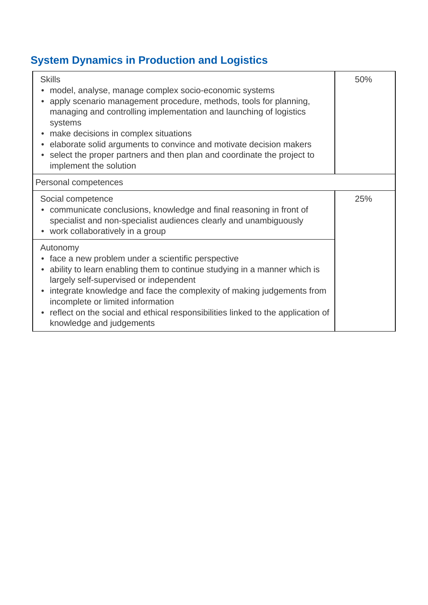| <b>Skills</b><br>model, analyse, manage complex socio-economic systems<br>apply scenario management procedure, methods, tools for planning,<br>managing and controlling implementation and launching of logistics<br>systems<br>• make decisions in complex situations<br>• elaborate solid arguments to convince and motivate decision makers<br>select the proper partners and then plan and coordinate the project to<br>implement the solution | 50% |
|----------------------------------------------------------------------------------------------------------------------------------------------------------------------------------------------------------------------------------------------------------------------------------------------------------------------------------------------------------------------------------------------------------------------------------------------------|-----|
| Personal competences                                                                                                                                                                                                                                                                                                                                                                                                                               |     |
| Social competence<br>• communicate conclusions, knowledge and final reasoning in front of<br>specialist and non-specialist audiences clearly and unambiguously<br>• work collaboratively in a group                                                                                                                                                                                                                                                | 25% |
| Autonomy<br>face a new problem under a scientific perspective<br>ability to learn enabling them to continue studying in a manner which is<br>largely self-supervised or independent<br>integrate knowledge and face the complexity of making judgements from<br>$\bullet$<br>incomplete or limited information<br>reflect on the social and ethical responsibilities linked to the application of<br>$\bullet$<br>knowledge and judgements         |     |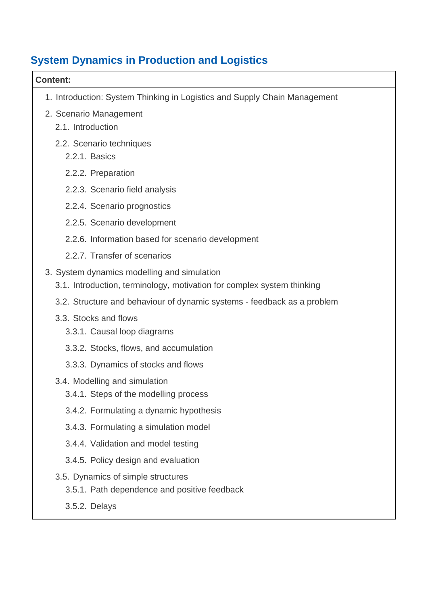| <b>Content:</b>                                                                                                       |
|-----------------------------------------------------------------------------------------------------------------------|
| 1. Introduction: System Thinking in Logistics and Supply Chain Management                                             |
| 2. Scenario Management                                                                                                |
| 2.1. Introduction                                                                                                     |
| 2.2. Scenario techniques<br>2.2.1. Basics                                                                             |
| 2.2.2. Preparation                                                                                                    |
| 2.2.3. Scenario field analysis                                                                                        |
| 2.2.4. Scenario prognostics                                                                                           |
| 2.2.5. Scenario development                                                                                           |
| 2.2.6. Information based for scenario development                                                                     |
| 2.2.7. Transfer of scenarios                                                                                          |
| 3. System dynamics modelling and simulation<br>3.1. Introduction, terminology, motivation for complex system thinking |
| 3.2. Structure and behaviour of dynamic systems - feedback as a problem                                               |
| 3.3. Stocks and flows                                                                                                 |
| 3.3.1. Causal loop diagrams                                                                                           |
| 3.3.2. Stocks, flows, and accumulation                                                                                |
| 3.3.3. Dynamics of stocks and flows                                                                                   |
| 3.4. Modelling and simulation                                                                                         |
| 3.4.1. Steps of the modelling process                                                                                 |
| 3.4.2. Formulating a dynamic hypothesis                                                                               |
| 3.4.3. Formulating a simulation model                                                                                 |
| 3.4.4. Validation and model testing                                                                                   |
| 3.4.5. Policy design and evaluation                                                                                   |
| 3.5. Dynamics of simple structures<br>3.5.1. Path dependence and positive feedback                                    |
| 3.5.2. Delays                                                                                                         |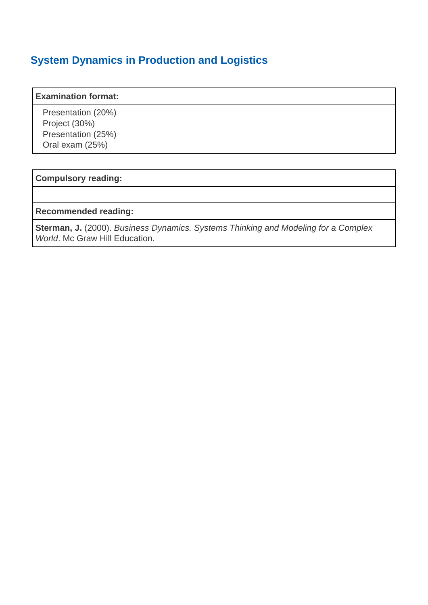#### **Examination format:**

 Presentation (20%) Project (30%) Presentation (25%) Oral exam (25%)

#### **Compulsory reading:**

#### **Recommended reading:**

**Sterman, J.** (2000). Business Dynamics. Systems Thinking and Modeling for a Complex World. Mc Graw Hill Education.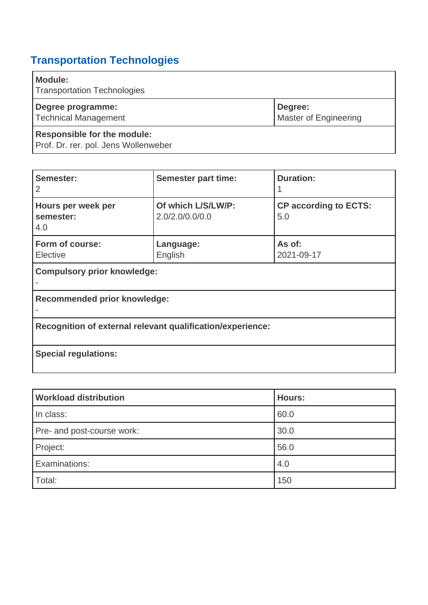# <span id="page-56-0"></span>**Transportation Technologies**

| <b>Module:</b><br><b>Transportation Technologies</b>                       |                                         |
|----------------------------------------------------------------------------|-----------------------------------------|
| Degree programme:<br><b>Technical Management</b>                           | Degree:<br><b>Master of Engineering</b> |
| <b>Responsible for the module:</b><br>Prof. Dr. rer. pol. Jens Wollenweber |                                         |

| Semester:<br>2                                             | <b>Semester part time:</b>            | <b>Duration:</b>                    |
|------------------------------------------------------------|---------------------------------------|-------------------------------------|
| Hours per week per<br>semester:<br>4.0                     | Of which L/S/LW/P:<br>2.0/2.0/0.0/0.0 | <b>CP according to ECTS:</b><br>5.0 |
| Form of course:<br>Elective                                | Language:<br>English                  | As of:<br>2021-09-17                |
| <b>Compulsory prior knowledge:</b>                         |                                       |                                     |
| <b>Recommended prior knowledge:</b>                        |                                       |                                     |
| Recognition of external relevant qualification/experience: |                                       |                                     |
| <b>Special regulations:</b>                                |                                       |                                     |

| <b>Workload distribution</b> | <b>Hours:</b> |
|------------------------------|---------------|
| In class:                    | 60.0          |
| Pre- and post-course work:   | 30.0          |
| Project:                     | 56.0          |
| Examinations:                | 4.0           |
| Total:                       | 150           |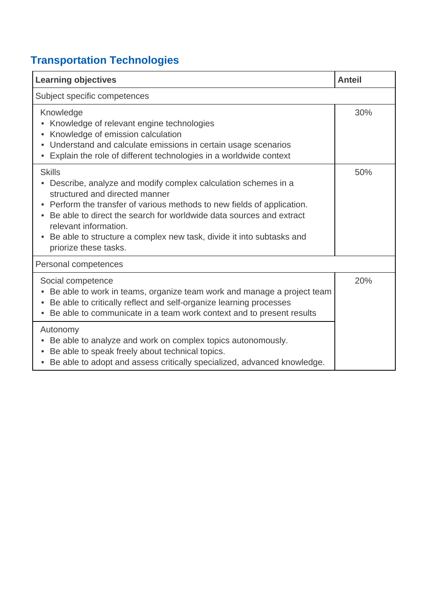# **Transportation Technologies**

| <b>Learning objectives</b>                                                                                                                                                                                                                                                                                                                                                                              | <b>Anteil</b> |
|---------------------------------------------------------------------------------------------------------------------------------------------------------------------------------------------------------------------------------------------------------------------------------------------------------------------------------------------------------------------------------------------------------|---------------|
| Subject specific competences                                                                                                                                                                                                                                                                                                                                                                            |               |
| Knowledge<br>Knowledge of relevant engine technologies<br>Knowledge of emission calculation<br>$\bullet$<br>• Understand and calculate emissions in certain usage scenarios<br>• Explain the role of different technologies in a worldwide context                                                                                                                                                      | 30%           |
| <b>Skills</b><br>Describe, analyze and modify complex calculation schemes in a<br>structured and directed manner<br>Perform the transfer of various methods to new fields of application.<br>Be able to direct the search for worldwide data sources and extract<br>relevant information.<br>Be able to structure a complex new task, divide it into subtasks and<br>$\bullet$<br>priorize these tasks. | 50%           |
| Personal competences                                                                                                                                                                                                                                                                                                                                                                                    |               |
| Social competence<br>Be able to work in teams, organize team work and manage a project team<br>Be able to critically reflect and self-organize learning processes<br>Be able to communicate in a team work context and to present results                                                                                                                                                               | 20%           |
| Autonomy<br>Be able to analyze and work on complex topics autonomously.<br>$\bullet$<br>Be able to speak freely about technical topics.<br>• Be able to adopt and assess critically specialized, advanced knowledge.                                                                                                                                                                                    |               |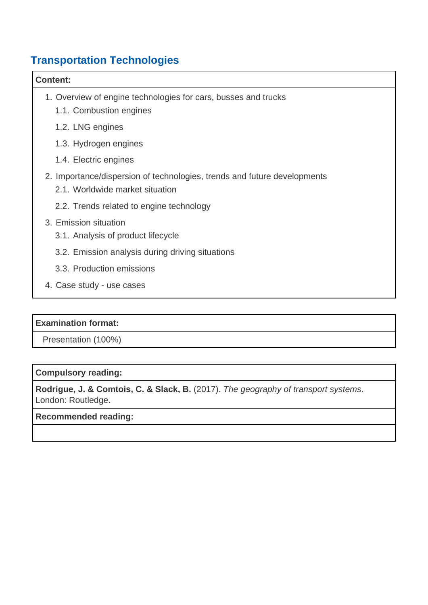### **Transportation Technologies**

## **Content:** 1. Overview of engine technologies for cars, busses and trucks 1.1. Combustion engines 1.2. LNG engines 1.3. Hydrogen engines 1.4. Electric engines 2. Importance/dispersion of technologies, trends and future developments 2.1. Worldwide market situation 2.2. Trends related to engine technology 3. Emission situation 3.1. Analysis of product lifecycle 3.2. Emission analysis during driving situations 3.3. Production emissions 4. Case study - use cases

### **Examination format:**

Presentation (100%)

### **Compulsory reading:**

**Rodrigue, J. & Comtois, C. & Slack, B.** (2017). The geography of transport systems. London: Routledge.

#### **Recommended reading:**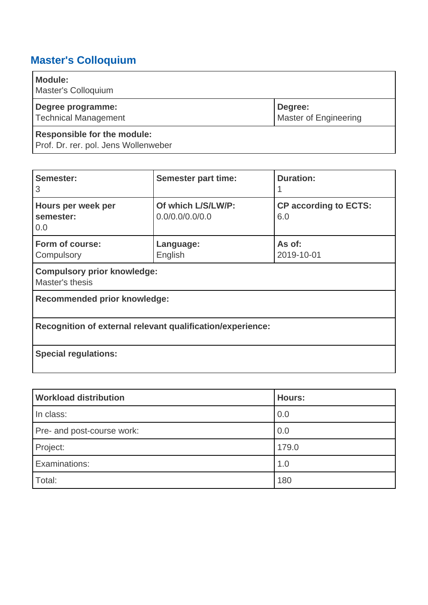## <span id="page-59-1"></span>**Master's Colloquium**

| <b>Module:</b><br>Master's Colloquium                                      |                                         |
|----------------------------------------------------------------------------|-----------------------------------------|
| Degree programme:<br><b>Technical Management</b>                           | Degree:<br><b>Master of Engineering</b> |
| <b>Responsible for the module:</b><br>Prof. Dr. rer. pol. Jens Wollenweber |                                         |

| Semester:<br>3                                             | <b>Semester part time:</b>            | <b>Duration:</b>                    |
|------------------------------------------------------------|---------------------------------------|-------------------------------------|
| Hours per week per<br>semester:<br>0.0                     | Of which L/S/LW/P:<br>0.0/0.0/0.0/0.0 | <b>CP according to ECTS:</b><br>6.0 |
| Form of course:<br>Compulsory                              | Language:<br>English                  | As of:<br>2019-10-01                |
| <b>Compulsory prior knowledge:</b><br>Master's thesis      |                                       |                                     |
| Recommended prior knowledge:                               |                                       |                                     |
| Recognition of external relevant qualification/experience: |                                       |                                     |
| <b>Special regulations:</b>                                |                                       |                                     |

<span id="page-59-0"></span>

| <b>Workload distribution</b> | <b>Hours:</b> |
|------------------------------|---------------|
| In class:                    | 0.0           |
| Pre- and post-course work:   | 0.0           |
| Project:                     | 179.0         |
| Examinations:                | 1.0           |
| Total:                       | 180           |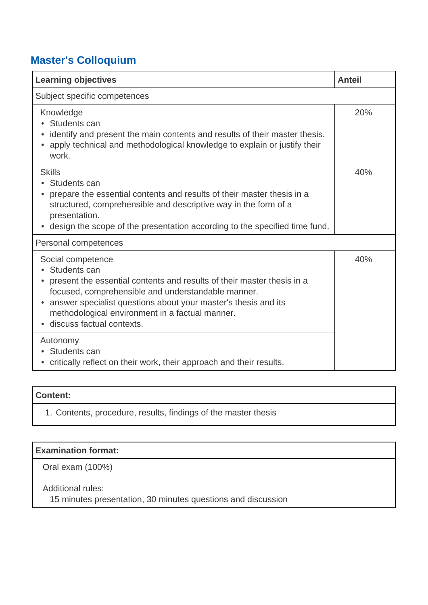### **Master's Colloquium**

| <b>Learning objectives</b>                                                                                                                                                                                                                                                                                                       | <b>Anteil</b> |
|----------------------------------------------------------------------------------------------------------------------------------------------------------------------------------------------------------------------------------------------------------------------------------------------------------------------------------|---------------|
| Subject specific competences                                                                                                                                                                                                                                                                                                     |               |
| Knowledge<br>Students can<br>identify and present the main contents and results of their master thesis.<br>apply technical and methodological knowledge to explain or justify their<br>work.                                                                                                                                     | 20%           |
| <b>Skills</b><br>• Students can<br>prepare the essential contents and results of their master thesis in a<br>structured, comprehensible and descriptive way in the form of a<br>presentation.<br>• design the scope of the presentation according to the specified time fund.                                                    | 40%           |
| Personal competences                                                                                                                                                                                                                                                                                                             |               |
| Social competence<br>Students can<br>present the essential contents and results of their master thesis in a<br>focused, comprehensible and understandable manner.<br>answer specialist questions about your master's thesis and its<br>$\bullet$<br>methodological environment in a factual manner.<br>discuss factual contexts. | 40%           |
| Autonomy<br>Students can<br>• critically reflect on their work, their approach and their results.                                                                                                                                                                                                                                |               |

### **Content:**

1. Contents, procedure, results, findings of the master thesis

| <b>Examination format:</b> |  |
|----------------------------|--|
| Oral exam (100%)           |  |

 Additional rules: 15 minutes presentation, 30 minutes questions and discussion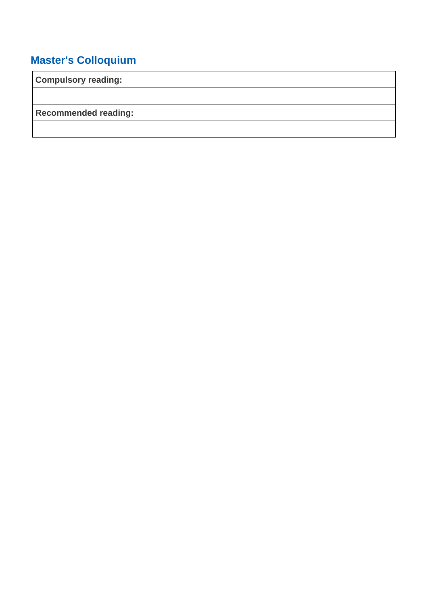## **Master's Colloquium**

**Compulsory reading:**

**Recommended reading:**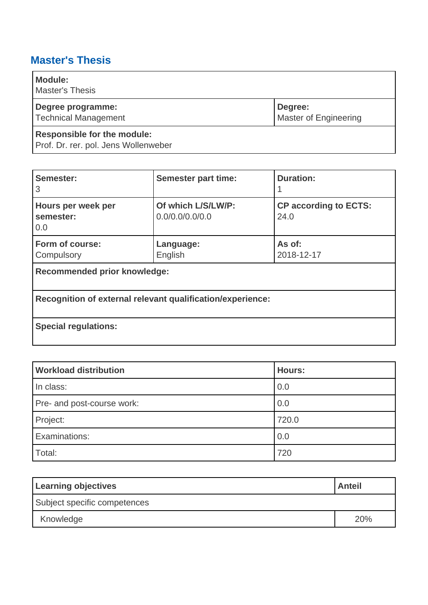## <span id="page-62-0"></span>**Master's Thesis**

| <b>Module:</b><br><b>Master's Thesis</b>                                   |                                         |
|----------------------------------------------------------------------------|-----------------------------------------|
| Degree programme:<br><b>Technical Management</b>                           | Degree:<br><b>Master of Engineering</b> |
| <b>Responsible for the module:</b><br>Prof. Dr. rer. pol. Jens Wollenweber |                                         |

| Semester:<br>3                                             | <b>Semester part time:</b>            | <b>Duration:</b>                     |  |  |  |
|------------------------------------------------------------|---------------------------------------|--------------------------------------|--|--|--|
| Hours per week per<br>semester:<br>0.0                     | Of which L/S/LW/P:<br>0.0/0.0/0.0/0.0 | <b>CP according to ECTS:</b><br>24.0 |  |  |  |
| Form of course:<br>Compulsory                              | Language:<br>English                  | As of:<br>2018-12-17                 |  |  |  |
| Recommended prior knowledge:                               |                                       |                                      |  |  |  |
| Recognition of external relevant qualification/experience: |                                       |                                      |  |  |  |
| <b>Special regulations:</b>                                |                                       |                                      |  |  |  |

| <b>Workload distribution</b> | <b>Hours:</b> |
|------------------------------|---------------|
| In class:                    | 0.0           |
| Pre- and post-course work:   | 0.0           |
| Project:                     | 720.0         |
| Examinations:                | 0.0           |
| Total:                       | 720           |

| <b>Learning objectives</b>   | <b>Anteil</b> |
|------------------------------|---------------|
| Subject specific competences |               |
| Knowledge                    | 20%           |